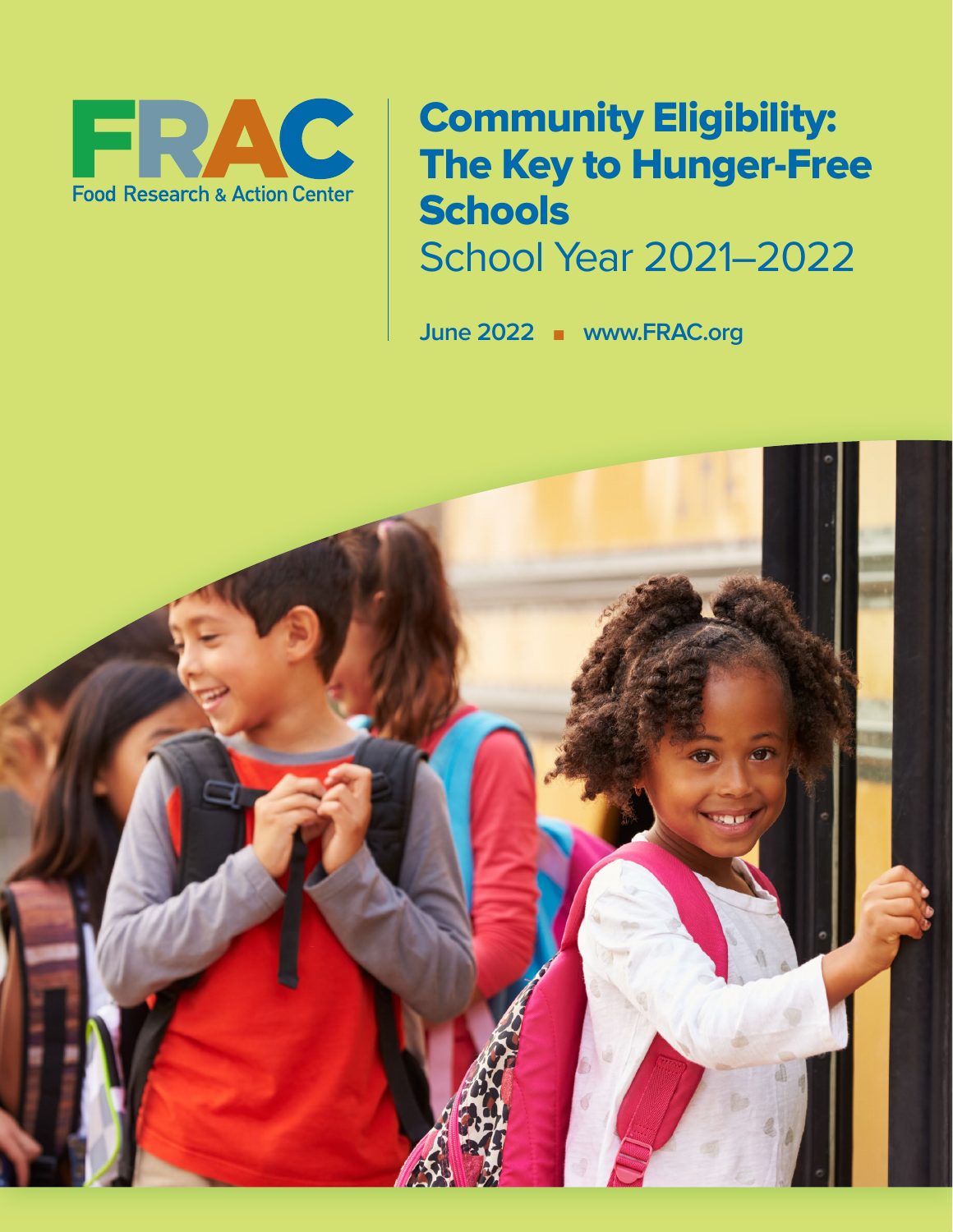

# Community Eligibility: The Key to Hunger-Free **Schools** School Year 2021–2022

June 2022 n www.FRAC.org

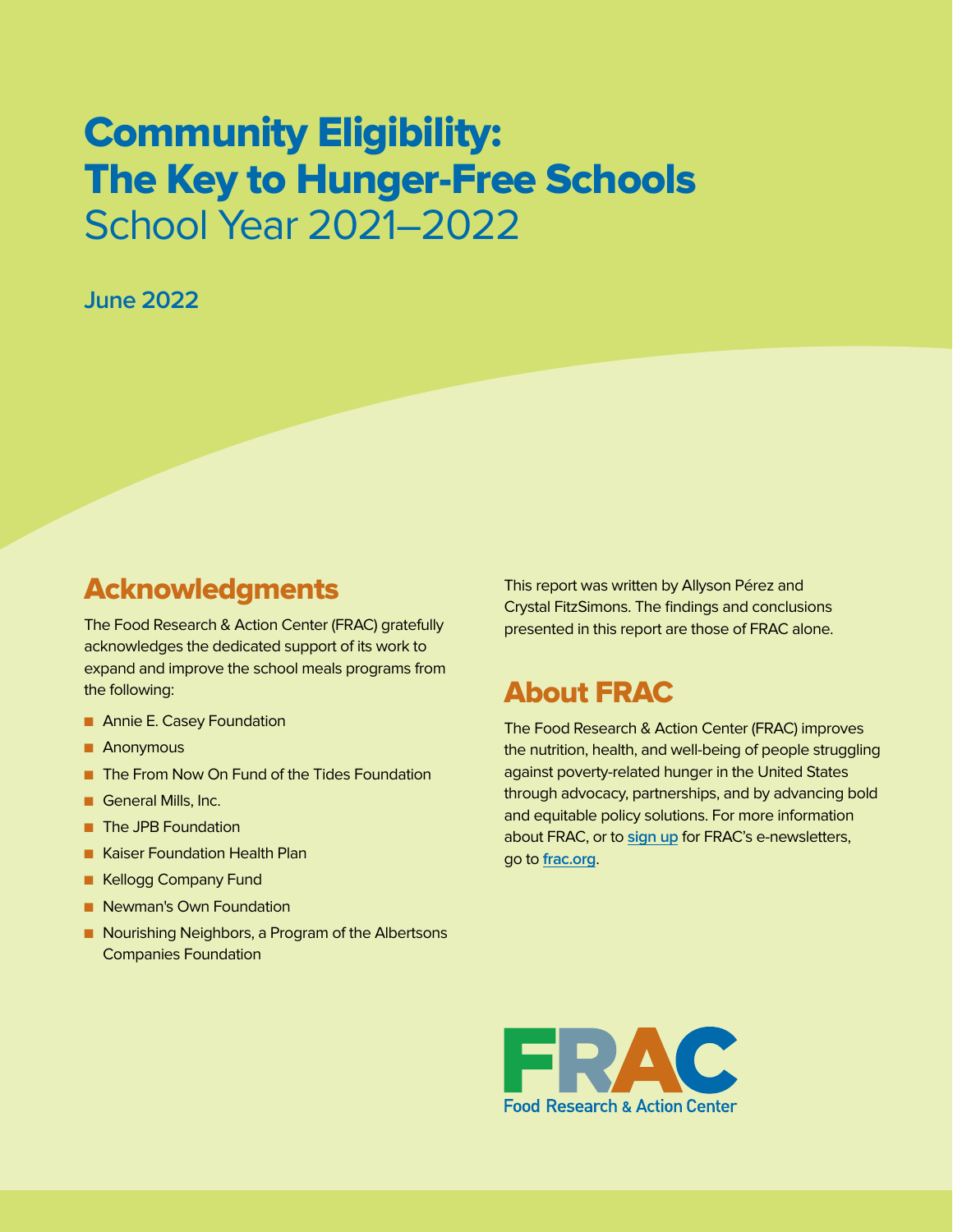## Community Eligibility: The Key to Hunger-Free Schools School Year 2021–2022

#### **June 2022**

## Acknowledgments

The Food Research & Action Center (FRAC) gratefully acknowledges the dedicated support of its work to expand and improve the school meals programs from the following:

- **n** Annie E. Casey Foundation
- **n** Anonymous
- The From Now On Fund of the Tides Foundation
- **n** General Mills, Inc.
- **n** The JPB Foundation
- **n** Kaiser Foundation Health Plan
- **n** Kellogg Company Fund
- **n** Newman's Own Foundation
- **n** Nourishing Neighbors, a Program of the Albertsons Companies Foundation

This report was written by Allyson Pérez and Crystal FitzSimons. The findings and conclusions presented in this report are those of FRAC alone.

### About FRAC

The Food Research & Action Center (FRAC) improves the nutrition, health, and well-being of people struggling against poverty-related hunger in the United States through advocacy, partnerships, and by advancing bold and equitable policy solutions. For more information about FRAC, or to **[sign up](https://frac.org/subscribe-to-enews)** for FRAC's e-newsletters, go to **[frac.org](http://frac.org/)**.

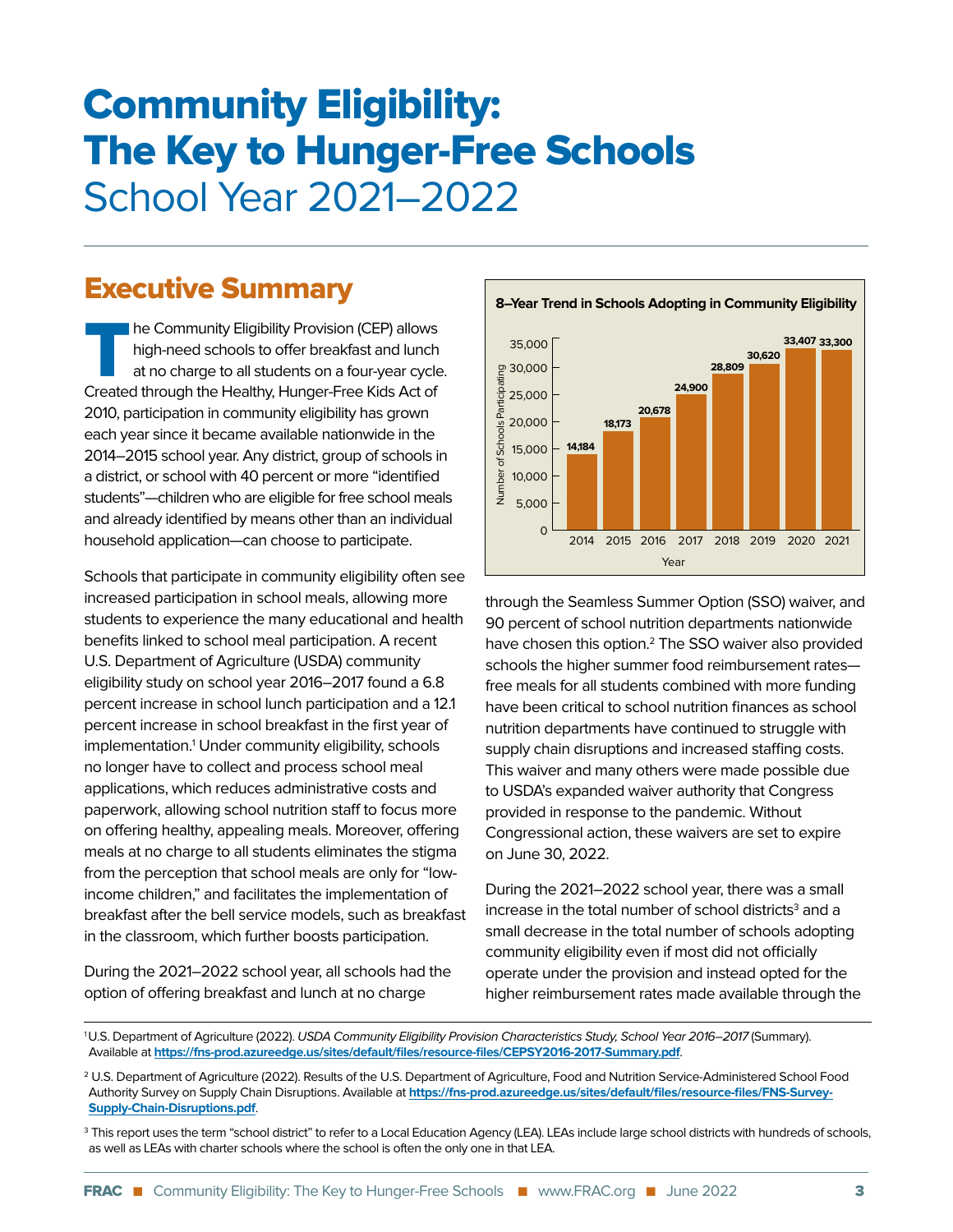# Community Eligibility: The Key to Hunger-Free Schools School Year 2021–2022

### Executive Summary

The Community Eligibility Provision (CEP) allows<br>high-need schools to offer breakfast and lunch<br>at no charge to all students on a four-year cycle<br>Croated through the Hoalthy Hunger Ereo Kids Act of high-need schools to offer breakfast and lunch at no charge to all students on a four-year cycle. Created through the Healthy, Hunger-Free Kids Act of 2010, participation in community eligibility has grown each year since it became available nationwide in the 2014–2015 school year. Any district, group of schools in a district, or school with 40 percent or more "identified students"—children who are eligible for free school meals and already identified by means other than an individual household application—can choose to participate.

Schools that participate in community eligibility often see increased participation in school meals, allowing more students to experience the many educational and health benefits linked to school meal participation. A recent U.S. Department of Agriculture (USDA) community eligibility study on school year 2016–2017 found a 6.8 percent increase in school lunch participation and a 12.1 percent increase in school breakfast in the first year of implementation.<sup>1</sup> Under community eligibility, schools no longer have to collect and process school meal applications, which reduces administrative costs and paperwork, allowing school nutrition staff to focus more on offering healthy, appealing meals. Moreover, offering meals at no charge to all students eliminates the stigma from the perception that school meals are only for "lowincome children," and facilitates the implementation of breakfast after the bell service models, such as breakfast in the classroom, which further boosts participation.

During the 2021–2022 school year, all schools had the option of offering breakfast and lunch at no charge



through the Seamless Summer Option (SSO) waiver, and 90 percent of school nutrition departments nationwide have chosen this option.<sup>2</sup> The SSO waiver also provided schools the higher summer food reimbursement rates free meals for all students combined with more funding have been critical to school nutrition finances as school nutrition departments have continued to struggle with supply chain disruptions and increased staffing costs. This waiver and many others were made possible due to USDA's expanded waiver authority that Congress provided in response to the pandemic. Without Congressional action, these waivers are set to expire on June 30, 2022.

During the 2021–2022 school year, there was a small increase in the total number of school districts $^3$  and a small decrease in the total number of schools adopting community eligibility even if most did not officially operate under the provision and instead opted for the higher reimbursement rates made available through the

<sup>1</sup>U.S. Department of Agriculture (2022). USDA Community Eligibility Provision Characteristics Study, School Year 2016–2017 (Summary). Available at **<https://fns-prod.azureedge.us/sites/default/files/resource-files/CEPSY2016-2017-Summary.pdf>**.

<sup>2</sup> U.S. Department of Agriculture (2022). Results of the U.S. Department of Agriculture, Food and Nutrition Service-Administered School Food Authority Survey on Supply Chain Disruptions. Available at **[https://fns-prod.azureedge.us/sites/default/files/resource-files/FNS-Survey-](https://fns-prod.azureedge.us/sites/default/files/resource-files/FNS-Survey-Supply-Chain-Disruptions.pdf)[Supply-Chain-Disruptions.pdf](https://fns-prod.azureedge.us/sites/default/files/resource-files/FNS-Survey-Supply-Chain-Disruptions.pdf)**.

<sup>&</sup>lt;sup>3</sup> This report uses the term "school district" to refer to a Local Education Agency (LEA). LEAs include large school districts with hundreds of schools, as well as LEAs with charter schools where the school is often the only one in that LEA.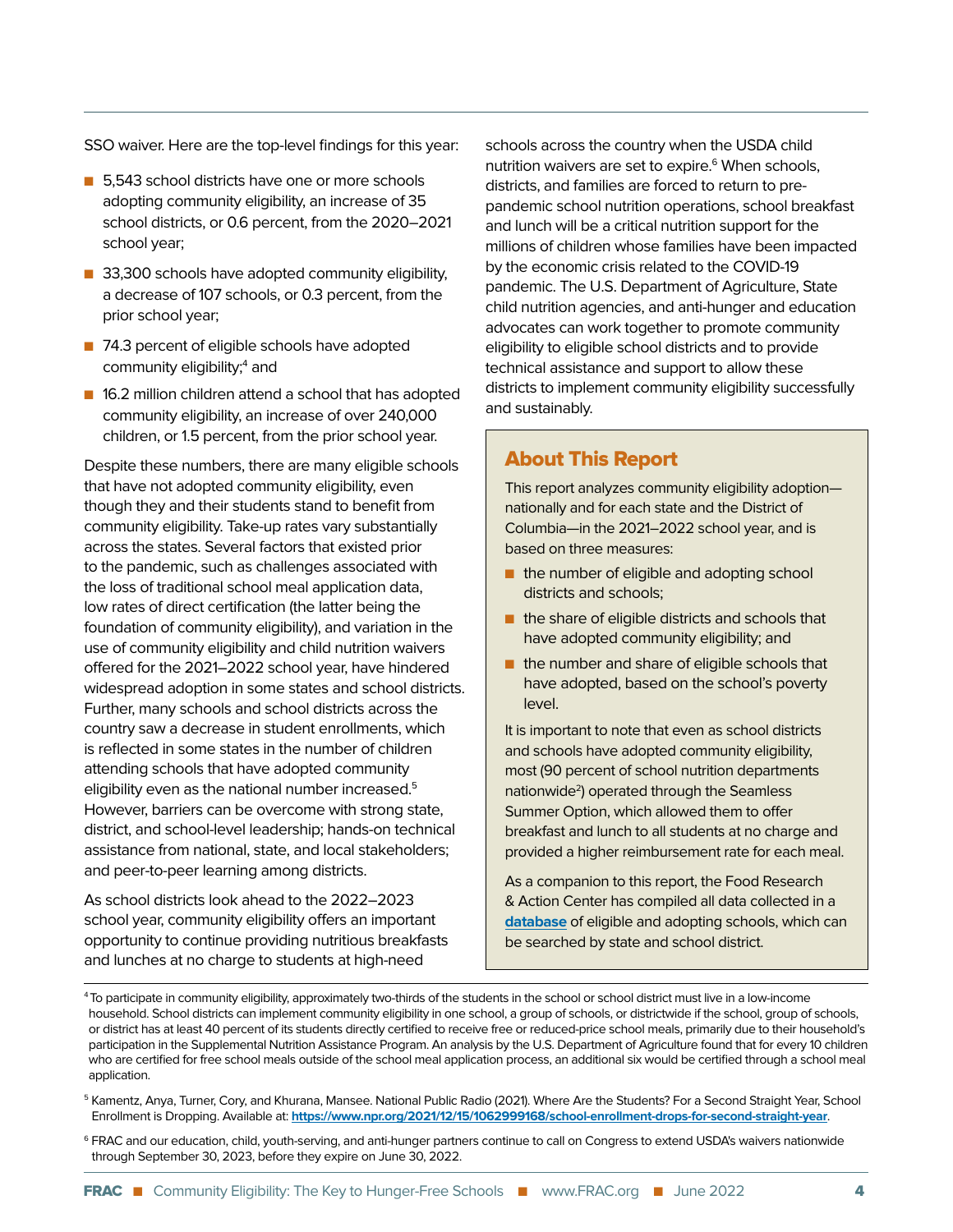SSO waiver. Here are the top-level findings for this year:

- 5,543 school districts have one or more schools adopting community eligibility, an increase of 35 school districts, or 0.6 percent, from the 2020–2021 school year;
- 33,300 schools have adopted community eligibility, a decrease of 107 schools, or 0.3 percent, from the prior school year;
- 74.3 percent of eligible schools have adopted community eligibility;<sup>4</sup> and
- 16.2 million children attend a school that has adopted community eligibility, an increase of over 240,000 children, or 1.5 percent, from the prior school year.

Despite these numbers, there are many eligible schools that have not adopted community eligibility, even though they and their students stand to benefit from community eligibility. Take-up rates vary substantially across the states. Several factors that existed prior to the pandemic, such as challenges associated with the loss of traditional school meal application data, low rates of direct certification (the latter being the foundation of community eligibility), and variation in the use of community eligibility and child nutrition waivers offered for the 2021–2022 school year, have hindered widespread adoption in some states and school districts. Further, many schools and school districts across the country saw a decrease in student enrollments, which is reflected in some states in the number of children attending schools that have adopted community eligibility even as the national number increased.<sup>5</sup> However, barriers can be overcome with strong state, district, and school-level leadership; hands-on technical assistance from national, state, and local stakeholders; and peer-to-peer learning among districts.

As school districts look ahead to the 2022–2023 school year, community eligibility offers an important opportunity to continue providing nutritious breakfasts and lunches at no charge to students at high-need

schools across the country when the USDA child nutrition waivers are set to expire.<sup>6</sup> When schools, districts, and families are forced to return to prepandemic school nutrition operations, school breakfast and lunch will be a critical nutrition support for the millions of children whose families have been impacted by the economic crisis related to the COVID-19 pandemic. The U.S. Department of Agriculture, State child nutrition agencies, and anti-hunger and education advocates can work together to promote community eligibility to eligible school districts and to provide technical assistance and support to allow these districts to implement community eligibility successfully and sustainably.

#### About This Report

This report analyzes community eligibility adoption nationally and for each state and the District of Columbia—in the 2021–2022 school year, and is based on three measures:

- n the number of eligible and adopting school districts and schools;
- $\blacksquare$  the share of eligible districts and schools that have adopted community eligibility; and
- $\blacksquare$  the number and share of eligible schools that have adopted, based on the school's poverty level.

It is important to note that even as school districts and schools have adopted community eligibility, most (90 percent of school nutrition departments nationwide<sup>2</sup>) operated through the Seamless Summer Option, which allowed them to offer breakfast and lunch to all students at no charge and provided a higher reimbursement rate for each meal.

As a companion to this report, the Food Research & Action Center has compiled all data collected in a **[database](https://frac.org/research/resource-library/community-eligibility-cep-database)** of eligible and adopting schools, which can be searched by state and school district.

- 5 Kamentz, Anya, Turner, Cory, and Khurana, Mansee. National Public Radio (2021). Where Are the Students? For a Second Straight Year, School Enrollment is Dropping. Available at: **<https://www.npr.org/2021/12/15/1062999168/school-enrollment-drops-for-second-straight-year>**.
- 6 FRAC and our education, child, youth-serving, and anti-hunger partners continue to call on Congress to extend USDA's waivers nationwide through September 30, 2023, before they expire on June 30, 2022.

<sup>4</sup> To participate in community eligibility, approximately two-thirds of the students in the school or school district must live in a low-income household. School districts can implement community eligibility in one school, a group of schools, or districtwide if the school, group of schools, or district has at least 40 percent of its students directly certified to receive free or reduced-price school meals, primarily due to their household's participation in the Supplemental Nutrition Assistance Program. An analysis by the U.S. Department of Agriculture found that for every 10 children who are certified for free school meals outside of the school meal application process, an additional six would be certified through a school meal application.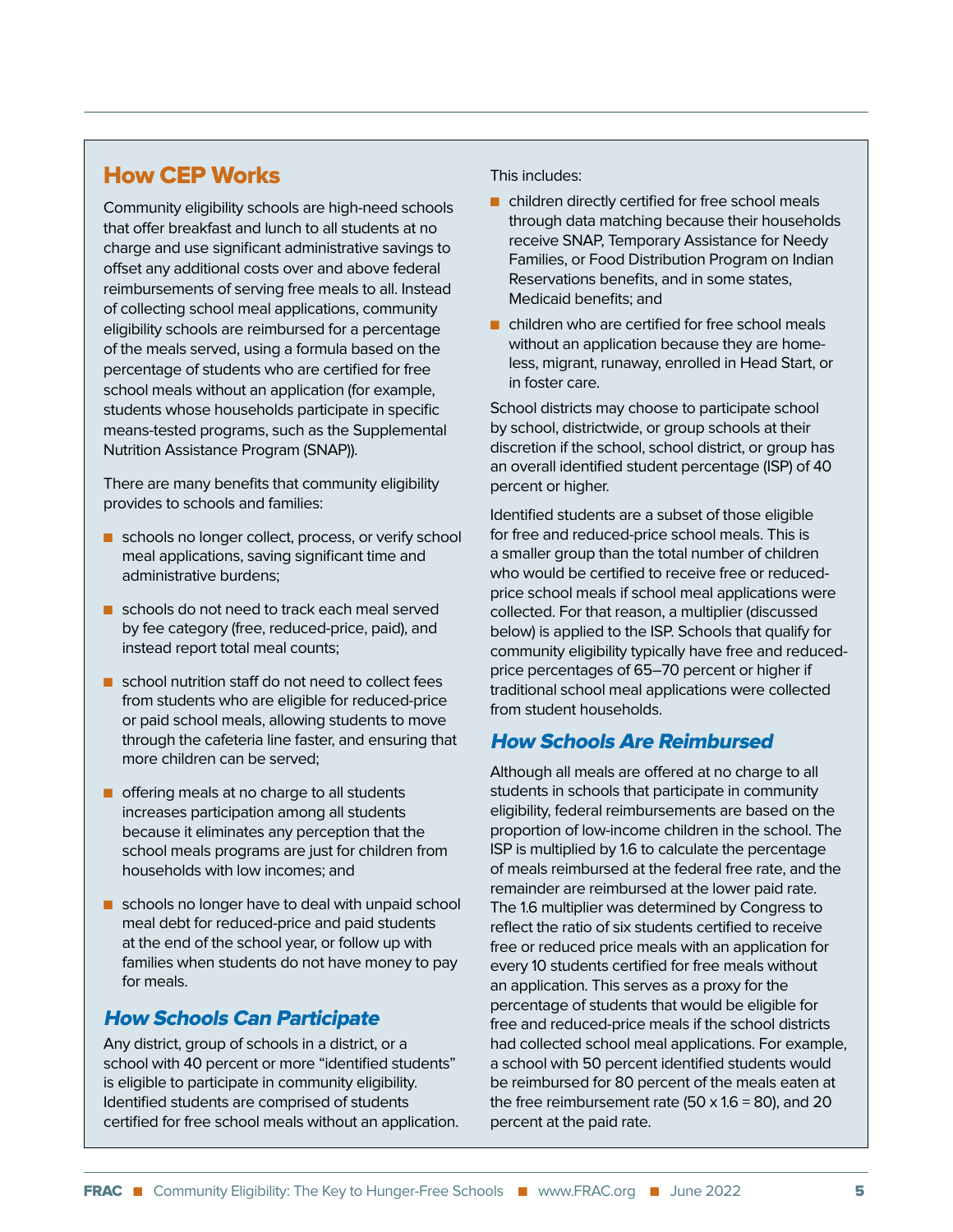#### How CEP Works

Community eligibility schools are high-need schools that offer breakfast and lunch to all students at no charge and use significant administrative savings to offset any additional costs over and above federal reimbursements of serving free meals to all. Instead of collecting school meal applications, community eligibility schools are reimbursed for a percentage of the meals served, using a formula based on the percentage of students who are certified for free school meals without an application (for example, students whose households participate in specific means-tested programs, such as the Supplemental Nutrition Assistance Program (SNAP)).

There are many benefits that community eligibility provides to schools and families:

- schools no longer collect, process, or verify school meal applications, saving significant time and administrative burdens;
- schools do not need to track each meal served by fee category (free, reduced-price, paid), and instead report total meal counts;
- $\blacksquare$  school nutrition staff do not need to collect fees from students who are eligible for reduced-price or paid school meals, allowing students to move through the cafeteria line faster, and ensuring that more children can be served;
- $\blacksquare$  offering meals at no charge to all students increases participation among all students because it eliminates any perception that the school meals programs are just for children from households with low incomes; and
- $\blacksquare$  schools no longer have to deal with unpaid school meal debt for reduced-price and paid students at the end of the school year, or follow up with families when students do not have money to pay for meals.

#### How Schools Can Participate

Any district, group of schools in a district, or a school with 40 percent or more "identified students" is eligible to participate in community eligibility. Identified students are comprised of students certified for free school meals without an application. This includes:

- $\blacksquare$  children directly certified for free school meals through data matching because their households receive SNAP, Temporary Assistance for Needy Families, or Food Distribution Program on Indian Reservations benefits, and in some states, Medicaid benefits; and
- $\blacksquare$  children who are certified for free school meals without an application because they are homeless, migrant, runaway, enrolled in Head Start, or in foster care.

School districts may choose to participate school by school, districtwide, or group schools at their discretion if the school, school district, or group has an overall identified student percentage (ISP) of 40 percent or higher.

Identified students are a subset of those eligible for free and reduced-price school meals. This is a smaller group than the total number of children who would be certified to receive free or reducedprice school meals if school meal applications were collected. For that reason, a multiplier (discussed below) is applied to the ISP. Schools that qualify for community eligibility typically have free and reducedprice percentages of 65–70 percent or higher if traditional school meal applications were collected from student households.

#### How Schools Are Reimbursed

Although all meals are offered at no charge to all students in schools that participate in community eligibility, federal reimbursements are based on the proportion of low-income children in the school. The ISP is multiplied by 1.6 to calculate the percentage of meals reimbursed at the federal free rate, and the remainder are reimbursed at the lower paid rate. The 1.6 multiplier was determined by Congress to reflect the ratio of six students certified to receive free or reduced price meals with an application for every 10 students certified for free meals without an application. This serves as a proxy for the percentage of students that would be eligible for free and reduced-price meals if the school districts had collected school meal applications. For example, a school with 50 percent identified students would be reimbursed for 80 percent of the meals eaten at the free reimbursement rate (50  $\times$  1.6 = 80), and 20 percent at the paid rate.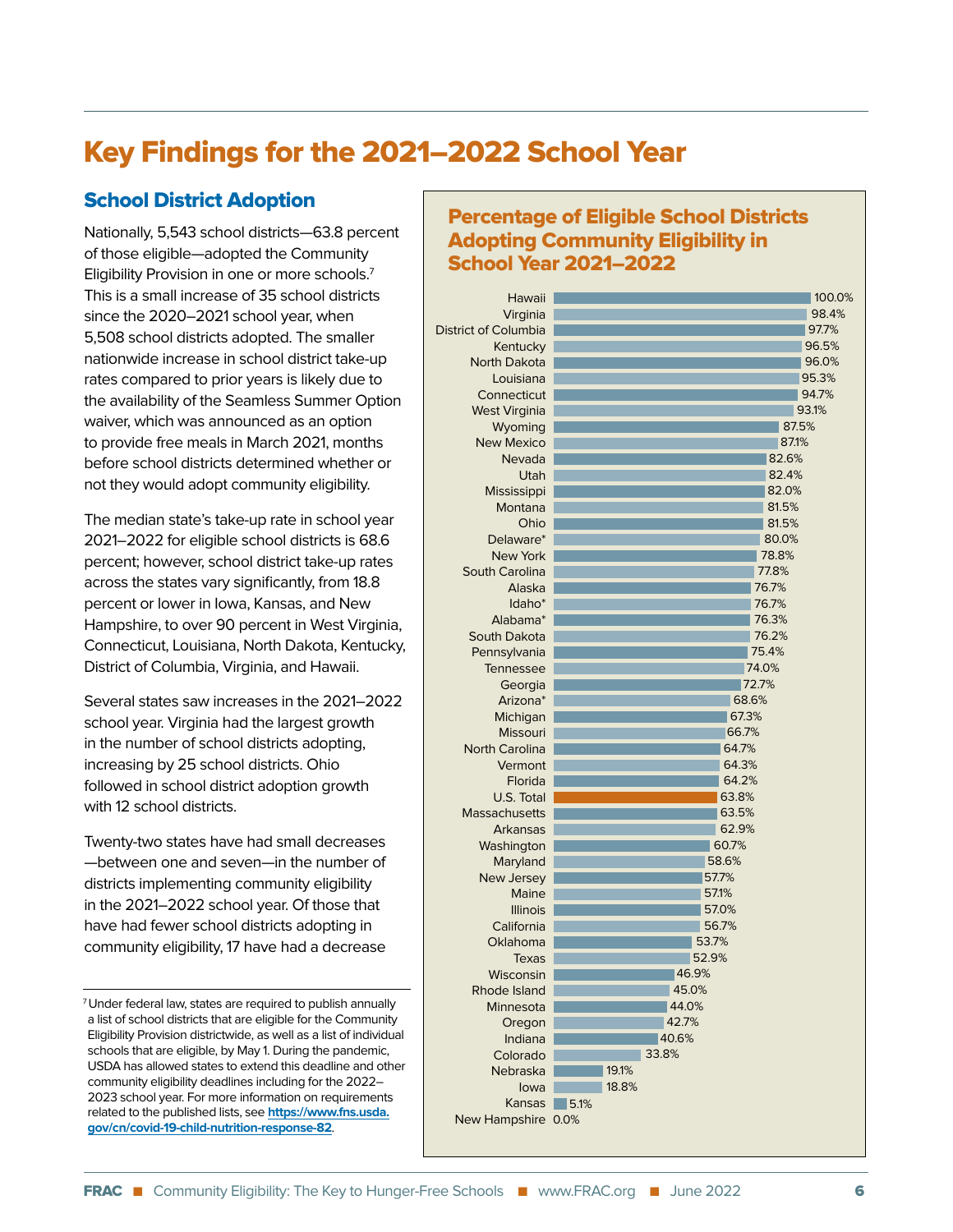## Key Findings for the 2021–2022 School Year

#### School District Adoption

Nationally, 5,543 school districts—63.8 percent of those eligible—adopted the Community Eligibility Provision in one or more schools.7 This is a small increase of 35 school districts since the 2020–2021 school year, when 5,508 school districts adopted. The smaller nationwide increase in school district take-up rates compared to prior years is likely due to the availability of the Seamless Summer Option waiver, which was announced as an option to provide free meals in March 2021, months before school districts determined whether or not they would adopt community eligibility.

The median state's take-up rate in school year 2021–2022 for eligible school districts is 68.6 percent; however, school district take-up rates across the states vary significantly, from 18.8 percent or lower in Iowa, Kansas, and New Hampshire, to over 90 percent in West Virginia, Connecticut, Louisiana, North Dakota, Kentucky, District of Columbia, Virginia, and Hawaii.

Several states saw increases in the 2021–2022 school year. Virginia had the largest growth in the number of school districts adopting, increasing by 25 school districts. Ohio followed in school district adoption growth with 12 school districts.

Twenty-two states have had small decreases —between one and seven—in the number of districts implementing community eligibility in the 2021–2022 school year. Of those that have had fewer school districts adopting in community eligibility, 17 have had a decrease

7 Under federal law, states are required to publish annually a list of school districts that are eligible for the Community Eligibility Provision districtwide, as well as a list of individual schools that are eligible, by May 1. During the pandemic, USDA has allowed states to extend this deadline and other community eligibility deadlines including for the 2022– 2023 school year. For more information on requirements related to the published lists, see **[https://www.fns.usda.](https://www.fns.usda.gov/cn/covid-19-child-nutrition-response-82) [gov/cn/covid-19-child-nutrition-response-82](https://www.fns.usda.gov/cn/covid-19-child-nutrition-response-82)**.

#### Percentage of Eligible School Districts Adopting Community Eligibility in School Year 2021–2022

| Hawaii                      | 100.0% |
|-----------------------------|--------|
| Virginia                    | 98.4%  |
| <b>District of Columbia</b> | 97.7%  |
| Kentucky                    | 96.5%  |
| <b>North Dakota</b>         | 96.0%  |
| Louisiana                   | 95.3%  |
| Connecticut                 | 94.7%  |
| <b>West Virginia</b>        | 93.1%  |
| Wyoming                     | 87.5%  |
| <b>New Mexico</b>           | 87.1%  |
| Nevada                      | 82.6%  |
| Utah                        | 82.4%  |
| Mississippi                 | 82.0%  |
| Montana                     | 81.5%  |
| Ohio                        | 81.5%  |
| Delaware*                   | 80.0%  |
| <b>New York</b>             | 78.8%  |
| South Carolina              | 77.8%  |
| Alaska                      | 76.7%  |
| Idaho <sup>*</sup>          | 76.7%  |
| Alabama*                    | 76.3%  |
| South Dakota                | 76.2%  |
| Pennsylvania                | 75.4%  |
| Tennessee                   | 74.0%  |
| Georgia                     | 72.7%  |
| Arizona*                    | 68.6%  |
| Michigan                    | 67.3%  |
| <b>Missouri</b>             | 66.7%  |
| <b>North Carolina</b>       | 64.7%  |
| Vermont                     | 64.3%  |
| Florida                     | 64.2%  |
| U.S. Total                  | 63.8%  |
| <b>Massachusetts</b>        | 63.5%  |
| Arkansas                    | 62.9%  |
| Washington                  | 60.7%  |
| Maryland                    | 58.6%  |
| New Jersey                  | 57.7%  |
| Maine                       | 57.1%  |
| <b>Illinois</b>             | 57.0%  |
| California                  | 56.7%  |
| Oklahoma                    | 53.7%  |
| Texas                       | 52.9%  |
| Wisconsin                   | 46.9%  |
| Rhode Island                | 45.0%  |
| Minnesota                   | 44.0%  |
| Oregon                      | 42.7%  |
| Indiana                     | 40.6%  |
| Colorado                    | 33.8%  |
| Nebraska                    | 19.1%  |
| lowa                        | 18.8%  |
| Kansas                      | 5.1%   |
| New Hampshire 0.0%          |        |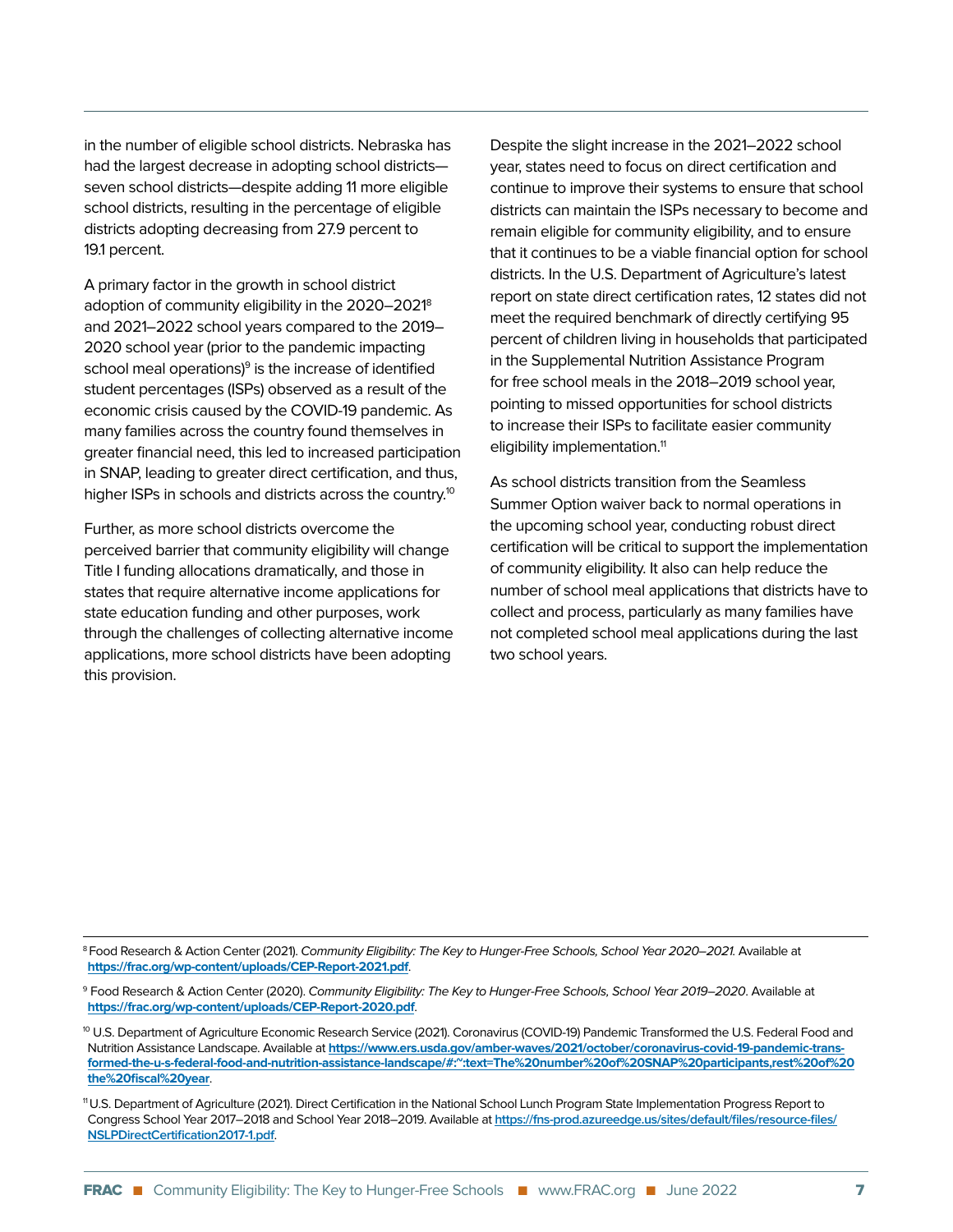in the number of eligible school districts. Nebraska has had the largest decrease in adopting school districts seven school districts—despite adding 11 more eligible school districts, resulting in the percentage of eligible districts adopting decreasing from 27.9 percent to 19.1 percent.

A primary factor in the growth in school district adoption of community eligibility in the 2020–20218 and 2021–2022 school years compared to the 2019– 2020 school year (prior to the pandemic impacting school meal operations)<sup>9</sup> is the increase of identified student percentages (ISPs) observed as a result of the economic crisis caused by the COVID-19 pandemic. As many families across the country found themselves in greater financial need, this led to increased participation in SNAP, leading to greater direct certification, and thus, higher ISPs in schools and districts across the country.<sup>10</sup>

Further, as more school districts overcome the perceived barrier that community eligibility will change Title I funding allocations dramatically, and those in states that require alternative income applications for state education funding and other purposes, work through the challenges of collecting alternative income applications, more school districts have been adopting this provision.

Despite the slight increase in the 2021–2022 school year, states need to focus on direct certification and continue to improve their systems to ensure that school districts can maintain the ISPs necessary to become and remain eligible for community eligibility, and to ensure that it continues to be a viable financial option for school districts. In the U.S. Department of Agriculture's latest report on state direct certification rates, 12 states did not meet the required benchmark of directly certifying 95 percent of children living in households that participated in the Supplemental Nutrition Assistance Program for free school meals in the 2018–2019 school year, pointing to missed opportunities for school districts to increase their ISPs to facilitate easier community eligibility implementation.<sup>11</sup>

As school districts transition from the Seamless Summer Option waiver back to normal operations in the upcoming school year, conducting robust direct certification will be critical to support the implementation of community eligibility. It also can help reduce the number of school meal applications that districts have to collect and process, particularly as many families have not completed school meal applications during the last two school years.

<sup>&</sup>lt;sup>8</sup> Food Research & Action Center (2021). Community Eligibility: The Key to Hunger-Free Schools, School Year 2020–2021. Available at **<https://frac.org/wp-content/uploads/CEP-Report-2021.pdf>**.

<sup>&</sup>lt;sup>9</sup> Food Research & Action Center (2020). *Community Eligibility: The Key to Hunger-Free Schools, School Year 2019–2020*. Available at **<https://frac.org/wp-content/uploads/CEP-Report-2020.pdf>**.

<sup>&</sup>lt;sup>10</sup> U.S. Department of Agriculture Economic Research Service (2021). Coronavirus (COVID-19) Pandemic Transformed the U.S. Federal Food and Nutrition Assistance Landscape. Available at **[https://www.ers.usda.gov/amber-waves/2021/october/coronavirus-covid-19-pandemic-trans](https://www.ers.usda.gov/amber-waves/2021/october/coronavirus-covid-19-pandemic-transformed-the-u-s-federal-food-and-nutrition-assistance-landscape/#:~:text=The%20number%20of%20SNAP%20participants,rest%20of%20the%20fiscal%20year)[formed-the-u-s-federal-food-and-nutrition-assistance-landscape/#:~:text=The%20number%20of%20SNAP%20participants,rest%20of%20](https://www.ers.usda.gov/amber-waves/2021/october/coronavirus-covid-19-pandemic-transformed-the-u-s-federal-food-and-nutrition-assistance-landscape/#:~:text=The%20number%20of%20SNAP%20participants,rest%20of%20the%20fiscal%20year) [the%20fiscal%20year](https://www.ers.usda.gov/amber-waves/2021/october/coronavirus-covid-19-pandemic-transformed-the-u-s-federal-food-and-nutrition-assistance-landscape/#:~:text=The%20number%20of%20SNAP%20participants,rest%20of%20the%20fiscal%20year)**.

<sup>11</sup> U.S. Department of Agriculture (2021). Direct Certification in the National School Lunch Program State Implementation Progress Report to Congress School Year 2017–2018 and School Year 2018–2019. Available at **[https://fns-prod.azureedge.us/sites/default/files/resource-files/](https://fns-prod.azureedge.us/sites/default/files/resource-files/NSLPDirectCertification2017-1.pdf) [NSLPDirectCertification2017-1.pdf](https://fns-prod.azureedge.us/sites/default/files/resource-files/NSLPDirectCertification2017-1.pdf)**.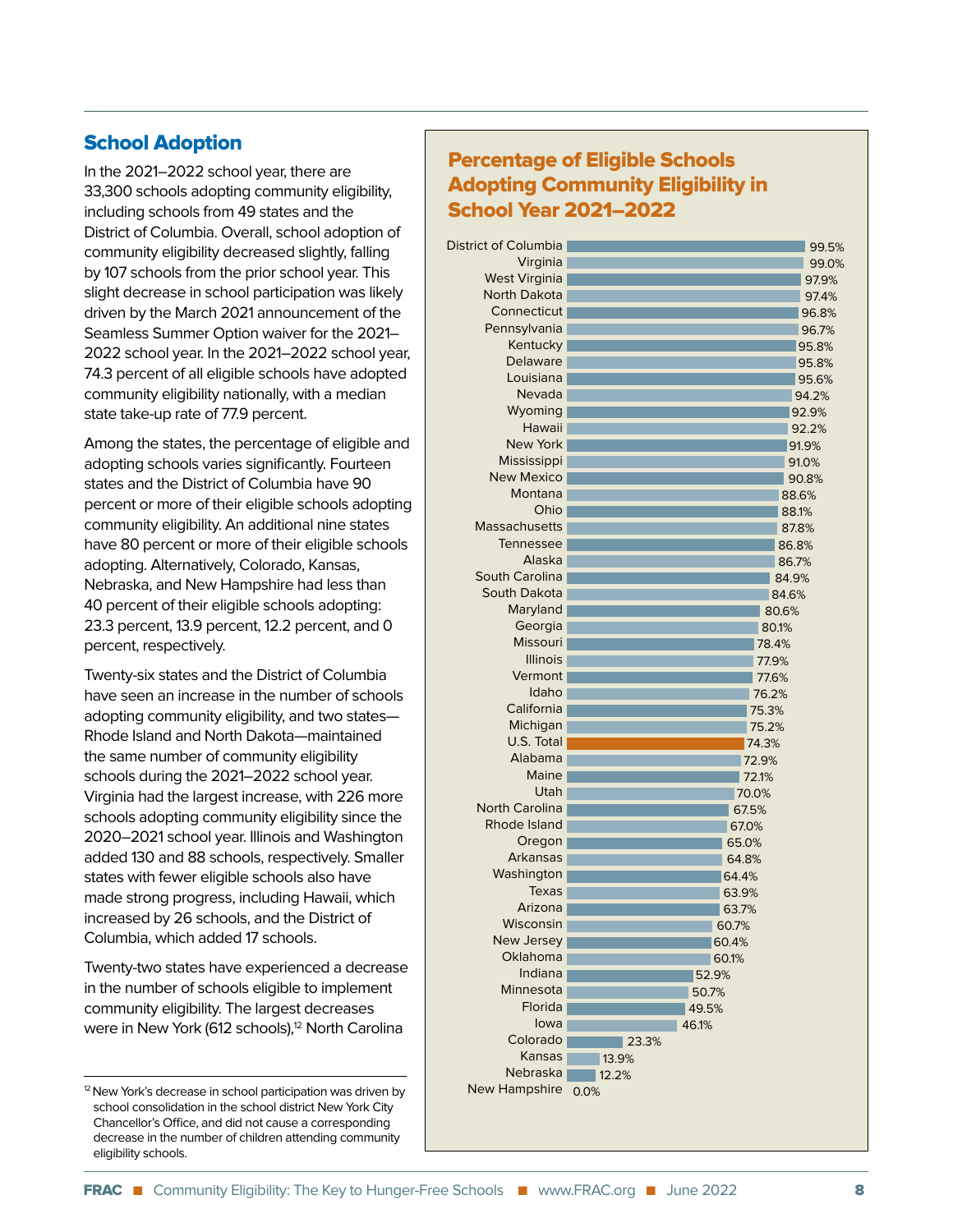#### School Adoption

In the 2021–2022 school year, there are 33,300 schools adopting community eligibility, including schools from 49 states and the District of Columbia. Overall, school adoption of community eligibility decreased slightly, falling by 107 schools from the prior school year. This slight decrease in school participation was likely driven by the March 2021 announcement of the Seamless Summer Option waiver for the 2021– 2022 school year. In the 2021–2022 school year, 74.3 percent of all eligible schools have adopted community eligibility nationally, with a median state take-up rate of 77.9 percent.

Among the states, the percentage of eligible and adopting schools varies significantly. Fourteen states and the District of Columbia have 90 percent or more of their eligible schools adopting community eligibility. An additional nine states have 80 percent or more of their eligible schools adopting. Alternatively, Colorado, Kansas, Nebraska, and New Hampshire had less than 40 percent of their eligible schools adopting: 23.3 percent, 13.9 percent, 12.2 percent, and 0 percent, respectively.

Twenty-six states and the District of Columbia have seen an increase in the number of schools adopting community eligibility, and two states— Rhode Island and North Dakota—maintained the same number of community eligibility schools during the 2021–2022 school year. Virginia had the largest increase, with 226 more schools adopting community eligibility since the 2020–2021 school year. Illinois and Washington added 130 and 88 schools, respectively. Smaller states with fewer eligible schools also have made strong progress, including Hawaii, which increased by 26 schools, and the District of Columbia, which added 17 schools.

Twenty-two states have experienced a decrease in the number of schools eligible to implement community eligibility. The largest decreases were in New York (612 schools),<sup>12</sup> North Carolina

#### Percentage of Eligible Schools Adopting Community Eligibility in School Year 2021–2022

| District of Columbia  |       | 99.5% |
|-----------------------|-------|-------|
| Virginia              |       | 99.0% |
| <b>West Virginia</b>  |       | 97.9% |
| <b>North Dakota</b>   |       | 97.4% |
| Connecticut           |       | 96.8% |
| Pennsylvania          |       | 96.7% |
| Kentucky              |       | 95.8% |
| Delaware              |       | 95.8% |
| Louisiana             |       | 95.6% |
| Nevada                |       | 94.2% |
| Wyoming               |       | 92.9% |
| Hawaii                |       | 92.2% |
| <b>New York</b>       |       | 91.9% |
| Mississippi           |       | 91.0% |
| <b>New Mexico</b>     |       | 90.8% |
| Montana               |       | 88.6% |
| Ohio                  |       | 88.1% |
| <b>Massachusetts</b>  |       | 87.8% |
| Tennessee             |       | 86.8% |
| Alaska                |       | 86.7% |
| <b>South Carolina</b> |       | 84.9% |
| South Dakota          |       | 84.6% |
| Maryland              |       | 80.6% |
| Georgia               | 80.1% |       |
| <b>Missouri</b>       | 78.4% |       |
| <b>Illinois</b>       | 77.9% |       |
| Vermont               | 77.6% |       |
| Idaho                 | 76.2% |       |
| California            | 75.3% |       |
| Michigan              | 75.2% |       |
| U.S. Total            | 74.3% |       |
| Alabama               | 72.9% |       |
| Maine                 | 72.1% |       |
| Utah                  | 70.0% |       |
| <b>North Carolina</b> | 67.5% |       |
| Rhode Island          | 67.0% |       |
| Oregon                | 65.0% |       |
| Arkansas              | 64.8% |       |
| Washington            | 64.4% |       |
| Texas                 | 63.9% |       |
| Arizona               | 63.7% |       |
| Wisconsin             | 60.7% |       |
| New Jersey            | 60.4% |       |
| Oklahoma              | 60.1% |       |
| Indiana               | 52.9% |       |
| Minnesota             | 50.7% |       |
| Florida               | 49.5% |       |
| lowa                  | 46.1% |       |
| Colorado              | 23.3% |       |
| Kansas                | 13.9% |       |
| <b>Nebraska</b>       | 12.2% |       |
| New Hampshire         | 0.0%  |       |
|                       |       |       |

<sup>&</sup>lt;sup>12</sup> New York's decrease in school participation was driven by school consolidation in the school district New York City Chancellor's Office, and did not cause a corresponding decrease in the number of children attending community eligibility schools.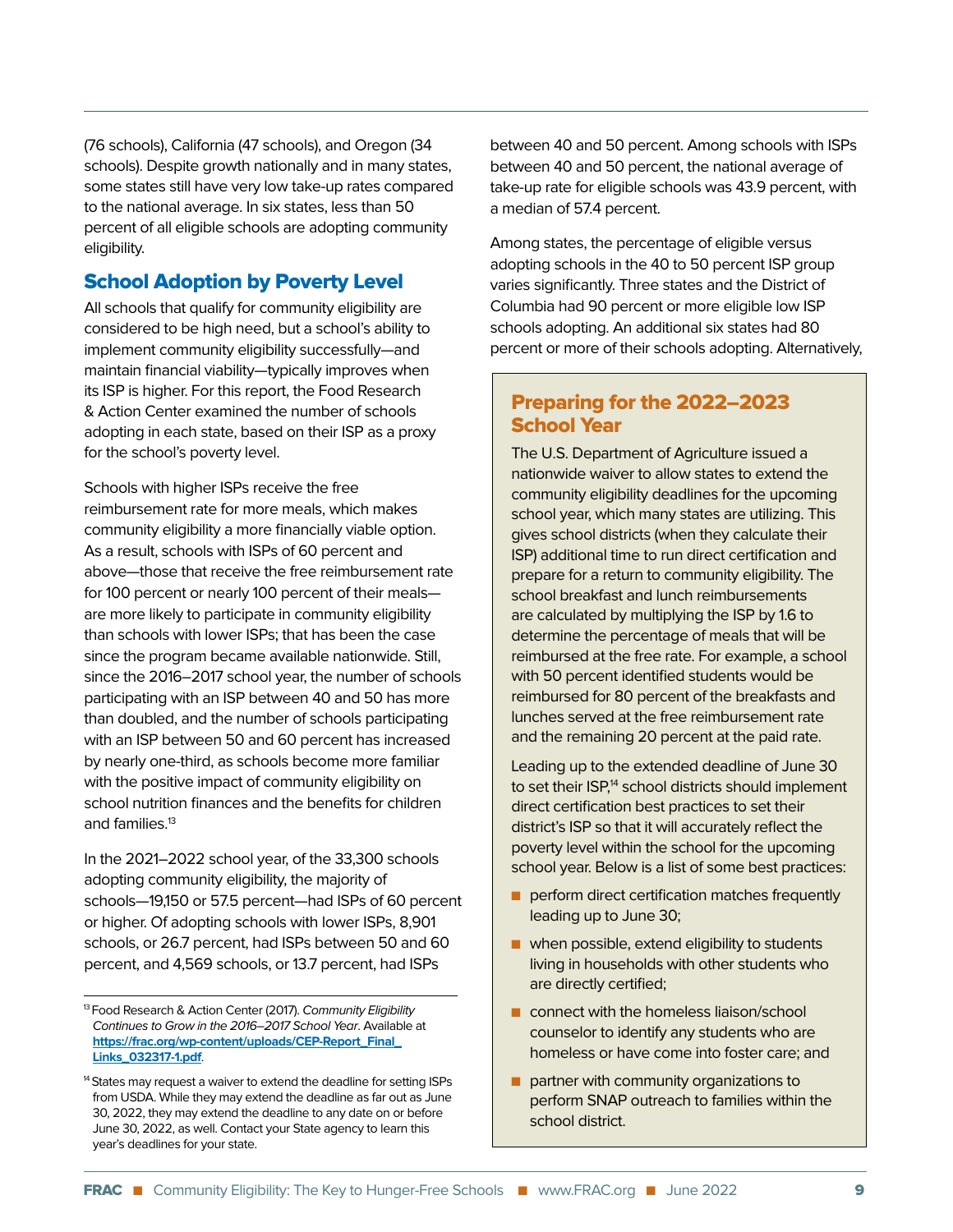(76 schools), California (47 schools), and Oregon (34 schools). Despite growth nationally and in many states, some states still have very low take-up rates compared to the national average. In six states, less than 50 percent of all eligible schools are adopting community eligibility.

#### School Adoption by Poverty Level

All schools that qualify for community eligibility are considered to be high need, but a school's ability to implement community eligibility successfully—and maintain financial viability—typically improves when its ISP is higher. For this report, the Food Research & Action Center examined the number of schools adopting in each state, based on their ISP as a proxy for the school's poverty level.

Schools with higher ISPs receive the free reimbursement rate for more meals, which makes community eligibility a more financially viable option. As a result, schools with ISPs of 60 percent and above—those that receive the free reimbursement rate for 100 percent or nearly 100 percent of their meals are more likely to participate in community eligibility than schools with lower ISPs; that has been the case since the program became available nationwide. Still, since the 2016–2017 school year, the number of schools participating with an ISP between 40 and 50 has more than doubled, and the number of schools participating with an ISP between 50 and 60 percent has increased by nearly one-third, as schools become more familiar with the positive impact of community eligibility on school nutrition finances and the benefits for children and families.<sup>13</sup>

In the 2021–2022 school year, of the 33,300 schools adopting community eligibility, the majority of schools—19,150 or 57.5 percent—had ISPs of 60 percent or higher. Of adopting schools with lower ISPs, 8,901 schools, or 26.7 percent, had ISPs between 50 and 60 percent, and 4,569 schools, or 13.7 percent, had ISPs

between 40 and 50 percent. Among schools with ISPs between 40 and 50 percent, the national average of take-up rate for eligible schools was 43.9 percent, with a median of 57.4 percent.

Among states, the percentage of eligible versus adopting schools in the 40 to 50 percent ISP group varies significantly. Three states and the District of Columbia had 90 percent or more eligible low ISP schools adopting. An additional six states had 80 percent or more of their schools adopting. Alternatively,

#### Preparing for the 2022–2023 School Year

The U.S. Department of Agriculture issued a nationwide waiver to allow states to extend the community eligibility deadlines for the upcoming school year, which many states are utilizing. This gives school districts (when they calculate their ISP) additional time to run direct certification and prepare for a return to community eligibility. The school breakfast and lunch reimbursements are calculated by multiplying the ISP by 1.6 to determine the percentage of meals that will be reimbursed at the free rate. For example, a school with 50 percent identified students would be reimbursed for 80 percent of the breakfasts and lunches served at the free reimbursement rate and the remaining 20 percent at the paid rate.

Leading up to the extended deadline of June 30 to set their ISP,<sup>14</sup> school districts should implement direct certification best practices to set their district's ISP so that it will accurately reflect the poverty level within the school for the upcoming school year. Below is a list of some best practices:

- $\blacksquare$  perform direct certification matches frequently leading up to June 30;
- $\blacksquare$  when possible, extend eligibility to students living in households with other students who are directly certified;
- n connect with the homeless liaison/school counselor to identify any students who are homeless or have come into foster care; and
- $\blacksquare$  partner with community organizations to perform SNAP outreach to families within the school district.

<sup>&</sup>lt;sup>13</sup> Food Research & Action Center (2017). Community Eligibility Continues to Grow in the 2016–2017 School Year. Available at **[https://frac.org/wp-content/uploads/CEP-Report\\_Final\\_](https://frac.org/wp-content/uploads/CEP-Report_Final_Links_032317-1.pdf) [Links\\_032317-1.pdf](https://frac.org/wp-content/uploads/CEP-Report_Final_Links_032317-1.pdf)**.

<sup>&</sup>lt;sup>14</sup> States may request a waiver to extend the deadline for setting ISPs from USDA. While they may extend the deadline as far out as June 30, 2022, they may extend the deadline to any date on or before June 30, 2022, as well. Contact your State agency to learn this year's deadlines for your state.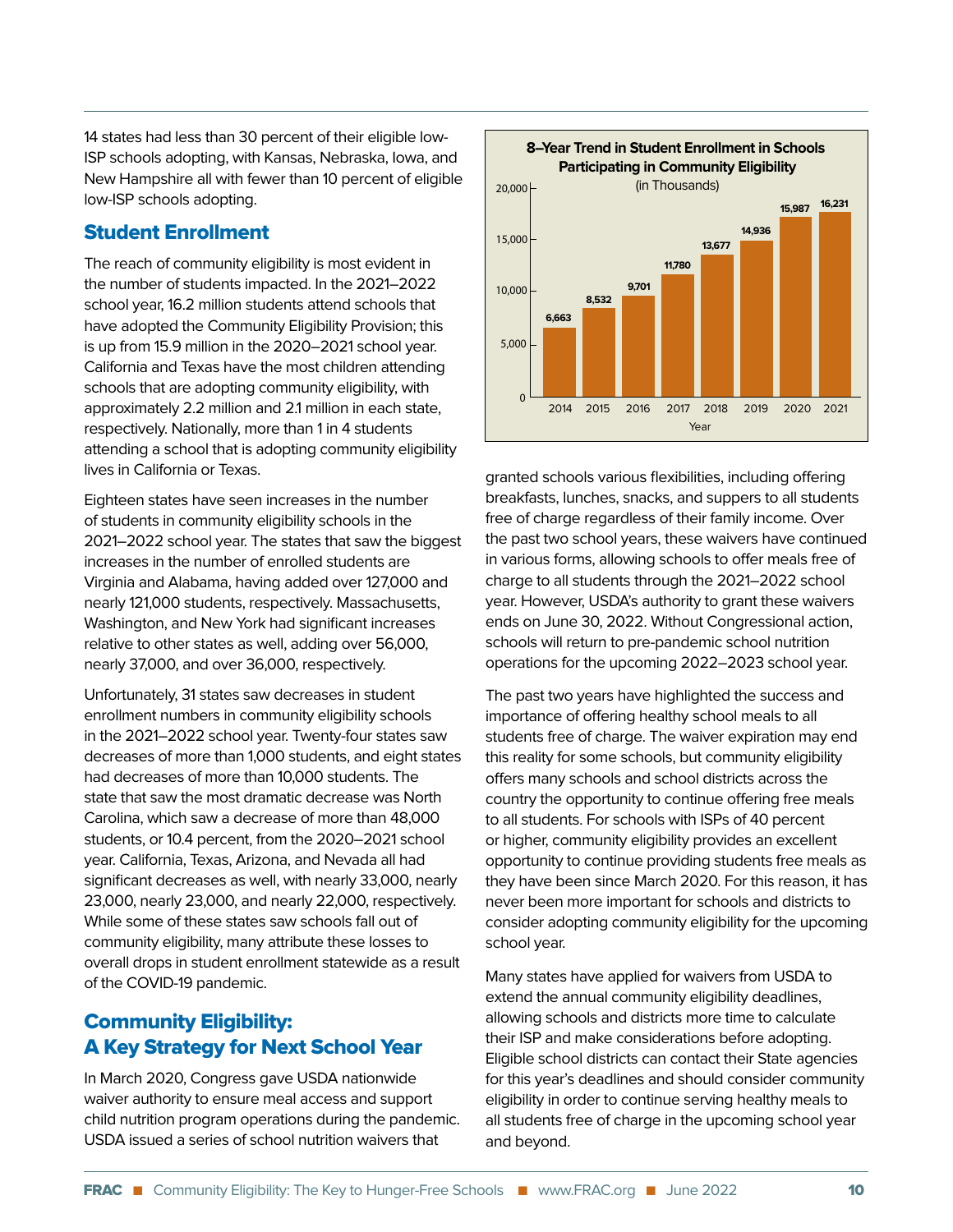14 states had less than 30 percent of their eligible low-ISP schools adopting, with Kansas, Nebraska, Iowa, and New Hampshire all with fewer than 10 percent of eligible low-ISP schools adopting.

#### Student Enrollment

The reach of community eligibility is most evident in the number of students impacted. In the 2021–2022 school year, 16.2 million students attend schools that have adopted the Community Eligibility Provision; this is up from 15.9 million in the 2020–2021 school year. California and Texas have the most children attending schools that are adopting community eligibility, with approximately 2.2 million and 2.1 million in each state, respectively. Nationally, more than 1 in 4 students attending a school that is adopting community eligibility lives in California or Texas.

Eighteen states have seen increases in the number of students in community eligibility schools in the 2021–2022 school year. The states that saw the biggest increases in the number of enrolled students are Virginia and Alabama, having added over 127,000 and nearly 121,000 students, respectively. Massachusetts, Washington, and New York had significant increases relative to other states as well, adding over 56,000, nearly 37,000, and over 36,000, respectively.

Unfortunately, 31 states saw decreases in student enrollment numbers in community eligibility schools in the 2021–2022 school year. Twenty-four states saw decreases of more than 1,000 students, and eight states had decreases of more than 10,000 students. The state that saw the most dramatic decrease was North Carolina, which saw a decrease of more than 48,000 students, or 10.4 percent, from the 2020–2021 school year. California, Texas, Arizona, and Nevada all had significant decreases as well, with nearly 33,000, nearly 23,000, nearly 23,000, and nearly 22,000, respectively. While some of these states saw schools fall out of community eligibility, many attribute these losses to overall drops in student enrollment statewide as a result of the COVID-19 pandemic.

#### Community Eligibility: A Key Strategy for Next School Year

In March 2020, Congress gave USDA nationwide waiver authority to ensure meal access and support child nutrition program operations during the pandemic. USDA issued a series of school nutrition waivers that



granted schools various flexibilities, including offering breakfasts, lunches, snacks, and suppers to all students free of charge regardless of their family income. Over the past two school years, these waivers have continued in various forms, allowing schools to offer meals free of charge to all students through the 2021–2022 school year. However, USDA's authority to grant these waivers ends on June 30, 2022. Without Congressional action, schools will return to pre-pandemic school nutrition operations for the upcoming 2022–2023 school year.

The past two years have highlighted the success and importance of offering healthy school meals to all students free of charge. The waiver expiration may end this reality for some schools, but community eligibility offers many schools and school districts across the country the opportunity to continue offering free meals to all students. For schools with ISPs of 40 percent or higher, community eligibility provides an excellent opportunity to continue providing students free meals as they have been since March 2020. For this reason, it has never been more important for schools and districts to consider adopting community eligibility for the upcoming school year.

Many states have applied for waivers from USDA to extend the annual community eligibility deadlines, allowing schools and districts more time to calculate their ISP and make considerations before adopting. Eligible school districts can contact their State agencies for this year's deadlines and should consider community eligibility in order to continue serving healthy meals to all students free of charge in the upcoming school year and beyond.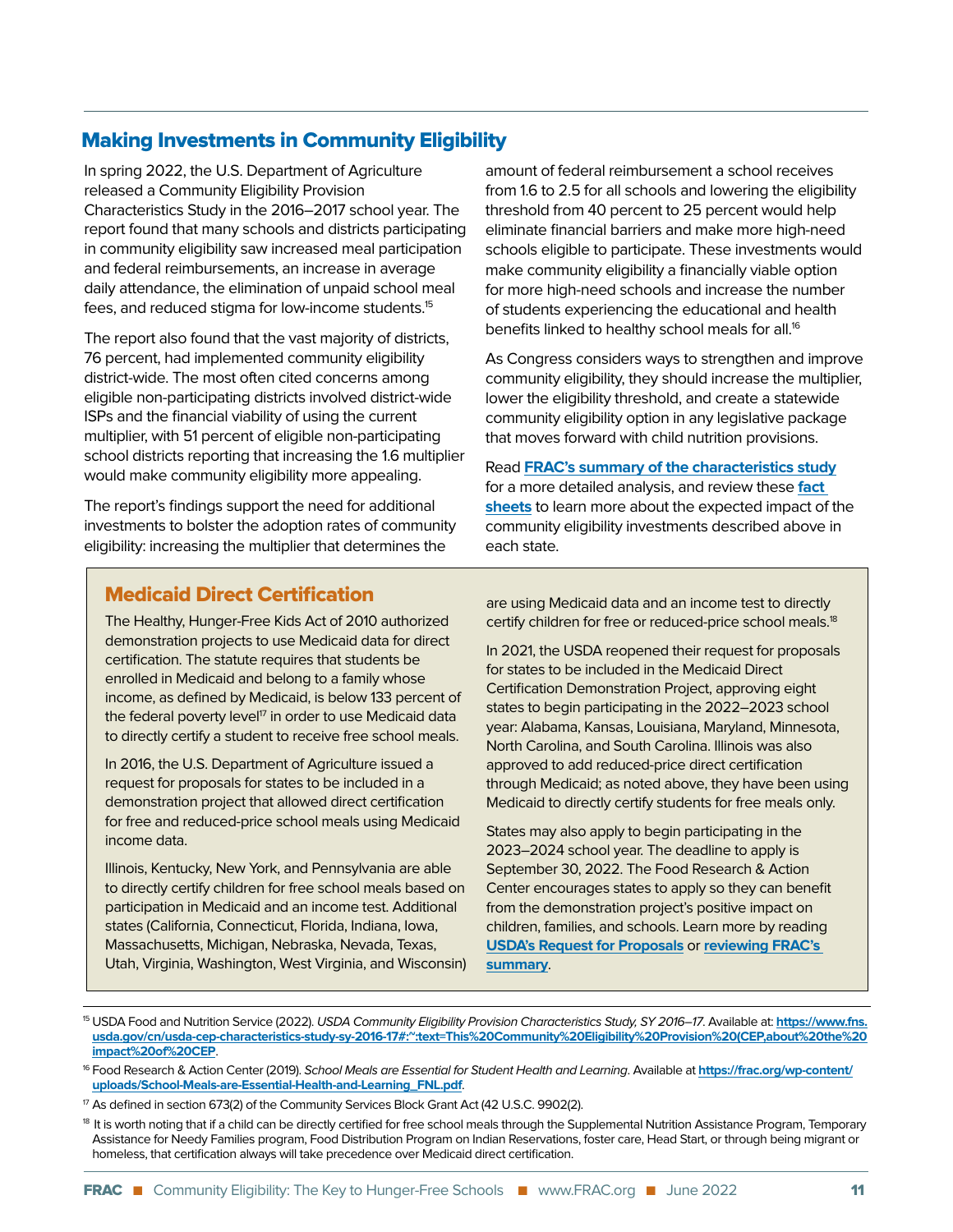#### Making Investments in Community Eligibility

In spring 2022, the U.S. Department of Agriculture released a Community Eligibility Provision Characteristics Study in the 2016–2017 school year. The report found that many schools and districts participating in community eligibility saw increased meal participation and federal reimbursements, an increase in average daily attendance, the elimination of unpaid school meal fees, and reduced stigma for low-income students.15

The report also found that the vast majority of districts, 76 percent, had implemented community eligibility district-wide. The most often cited concerns among eligible non-participating districts involved district-wide ISPs and the financial viability of using the current multiplier, with 51 percent of eligible non-participating school districts reporting that increasing the 1.6 multiplier would make community eligibility more appealing.

The report's findings support the need for additional investments to bolster the adoption rates of community eligibility: increasing the multiplier that determines the

amount of federal reimbursement a school receives from 1.6 to 2.5 for all schools and lowering the eligibility threshold from 40 percent to 25 percent would help eliminate financial barriers and make more high-need schools eligible to participate. These investments would make community eligibility a financially viable option for more high-need schools and increase the number of students experiencing the educational and health benefits linked to healthy school meals for all.<sup>16</sup>

As Congress considers ways to strengthen and improve community eligibility, they should increase the multiplier, lower the eligibility threshold, and create a statewide community eligibility option in any legislative package that moves forward with child nutrition provisions.

Read **[FRAC's summary of the characteristics study](https://frac.org/wp-content/uploads/USDA-CEP-Study-Summary-6-2.pdf)** for a more detailed analysis, and review these **[fact](https://frac.org/research/resource-library/bbb-cn-fact-sheets-and-tech-notes)  [sheets](https://frac.org/research/resource-library/bbb-cn-fact-sheets-and-tech-notes)** to learn more about the expected impact of the community eligibility investments described above in each state.

#### Medicaid Direct Certification

The Healthy, Hunger-Free Kids Act of 2010 authorized demonstration projects to use Medicaid data for direct certification. The statute requires that students be enrolled in Medicaid and belong to a family whose income, as defined by Medicaid, is below 133 percent of the federal poverty level $17$  in order to use Medicaid data to directly certify a student to receive free school meals.

In 2016, the U.S. Department of Agriculture issued a request for proposals for states to be included in a demonstration project that allowed direct certification for free and reduced-price school meals using Medicaid income data.

Illinois, Kentucky, New York, and Pennsylvania are able to directly certify children for free school meals based on participation in Medicaid and an income test. Additional states (California, Connecticut, Florida, Indiana, Iowa, Massachusetts, Michigan, Nebraska, Nevada, Texas, Utah, Virginia, Washington, West Virginia, and Wisconsin) are using Medicaid data and an income test to directly certify children for free or reduced-price school meals.18

In 2021, the USDA reopened their request for proposals for states to be included in the Medicaid Direct Certification Demonstration Project, approving eight states to begin participating in the 2022–2023 school year: Alabama, Kansas, Louisiana, Maryland, Minnesota, North Carolina, and South Carolina. Illinois was also approved to add reduced-price direct certification through Medicaid; as noted above, they have been using Medicaid to directly certify students for free meals only.

States may also apply to begin participating in the 2023–2024 school year. The deadline to apply is September 30, 2022. The Food Research & Action Center encourages states to apply so they can benefit from the demonstration project's positive impact on [children, families, and schools. L](https://www.fns.usda.gov/cn/direct-certification-medicaid-demonstration-project)e[arn more by reading](https://frac.org/wp-content/uploads/Medicaid-Direct-Cert-Demonstration-Project-RFP.pdf) **USDA's Request for Proposals** or **reviewing FRAC's [summary](https://frac.org/wp-content/uploads/Medicaid-Direct-Cert-Demonstration-Project-RFP.pdf)**.

<sup>17</sup> As defined in section 673(2) of the Community Services Block Grant Act (42 U.S.C. 9902(2).

<sup>15</sup> USDA Food and Nutrition Service (2022). USDA Community Eligibility Provision Characteristics Study, SY 2016–17. Available at: **[https://www.fns.](https://www.fns.usda.gov/cn/usda-cep-characteristics-study-sy-2016-17#:~:text=This%20Community%20Eligibility%20Provision%20(CEP,about%20the%20impact%20of%20CEP) [usda.gov/cn/usda-cep-characteristics-study-sy-2016-17#:~:text=This%20Community%20Eligibility%20Provision%20\(CEP,about%20the%20](https://www.fns.usda.gov/cn/usda-cep-characteristics-study-sy-2016-17#:~:text=This%20Community%20Eligibility%20Provision%20(CEP,about%20the%20impact%20of%20CEP) [impact%20of%20CEP](https://www.fns.usda.gov/cn/usda-cep-characteristics-study-sy-2016-17#:~:text=This%20Community%20Eligibility%20Provision%20(CEP,about%20the%20impact%20of%20CEP)**.

<sup>16</sup> Food Research & Action Center (2019). School Meals are Essential for Student Health and Learning. Available at **[https://frac.org/wp-content/](https://frac.org/wp-content/uploads/School-Meals-are-Essential-Health-and-Learning_FNL.pdf) [uploads/School-Meals-are-Essential-Health-and-Learning\\_FNL.pdf](https://frac.org/wp-content/uploads/School-Meals-are-Essential-Health-and-Learning_FNL.pdf)**.

<sup>&</sup>lt;sup>18</sup> It is worth noting that if a child can be directly certified for free school meals through the Supplemental Nutrition Assistance Program, Temporary Assistance for Needy Families program, Food Distribution Program on Indian Reservations, foster care, Head Start, or through being migrant or homeless, that certification always will take precedence over Medicaid direct certification.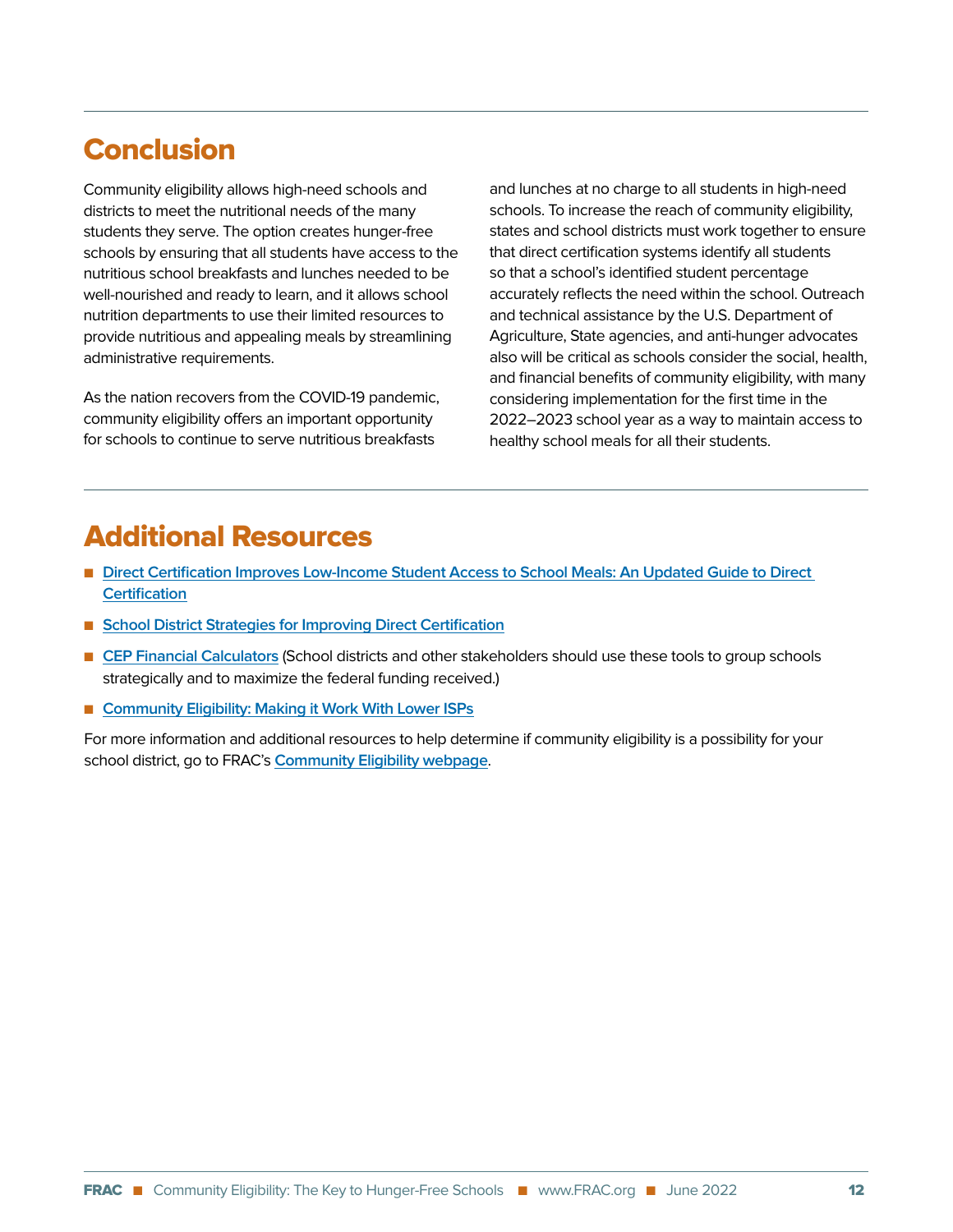## Conclusion

Community eligibility allows high-need schools and districts to meet the nutritional needs of the many students they serve. The option creates hunger-free schools by ensuring that all students have access to the nutritious school breakfasts and lunches needed to be well-nourished and ready to learn, and it allows school nutrition departments to use their limited resources to provide nutritious and appealing meals by streamlining administrative requirements.

As the nation recovers from the COVID-19 pandemic, community eligibility offers an important opportunity for schools to continue to serve nutritious breakfasts

and lunches at no charge to all students in high-need schools. To increase the reach of community eligibility, states and school districts must work together to ensure that direct certification systems identify all students so that a school's identified student percentage accurately reflects the need within the school. Outreach and technical assistance by the U.S. Department of Agriculture, State agencies, and anti-hunger advocates also will be critical as schools consider the social, health, and financial benefits of community eligibility, with many considering implementation for the first time in the 2022–2023 school year as a way to maintain access to healthy school meals for all their students.

## Additional Resources

- **Direct Certification Improves Low-Income Student Access to School Meals: An Updated Guide to Direct [Certification](https://frac.org/wp-content/uploads/direct-cert-improves-low-income-school-meal-access.pdf)**
- [School District Strategies for Improving Direct Certification](https://frac.org/wp-content/uploads/School-District-Strategies-for-Improving-Direct-Certification.pdf)
- **n [CEP Financial Calculators](https://fraccep.org/)** (School districts and other stakeholders should use these tools to group schools strategically and to maximize the federal funding received.)
- [Community Eligibility: Making it Work With Lower ISPs](https://frac.org/wp-content/uploads/making-cep-work-with-lower-isps.pdf)

For more information and additional resources to help determine if community eligibility is a possibility for your school district, go to FRAC's **[Community Eligibility webpage](https://frac.org/community-eligibility)**.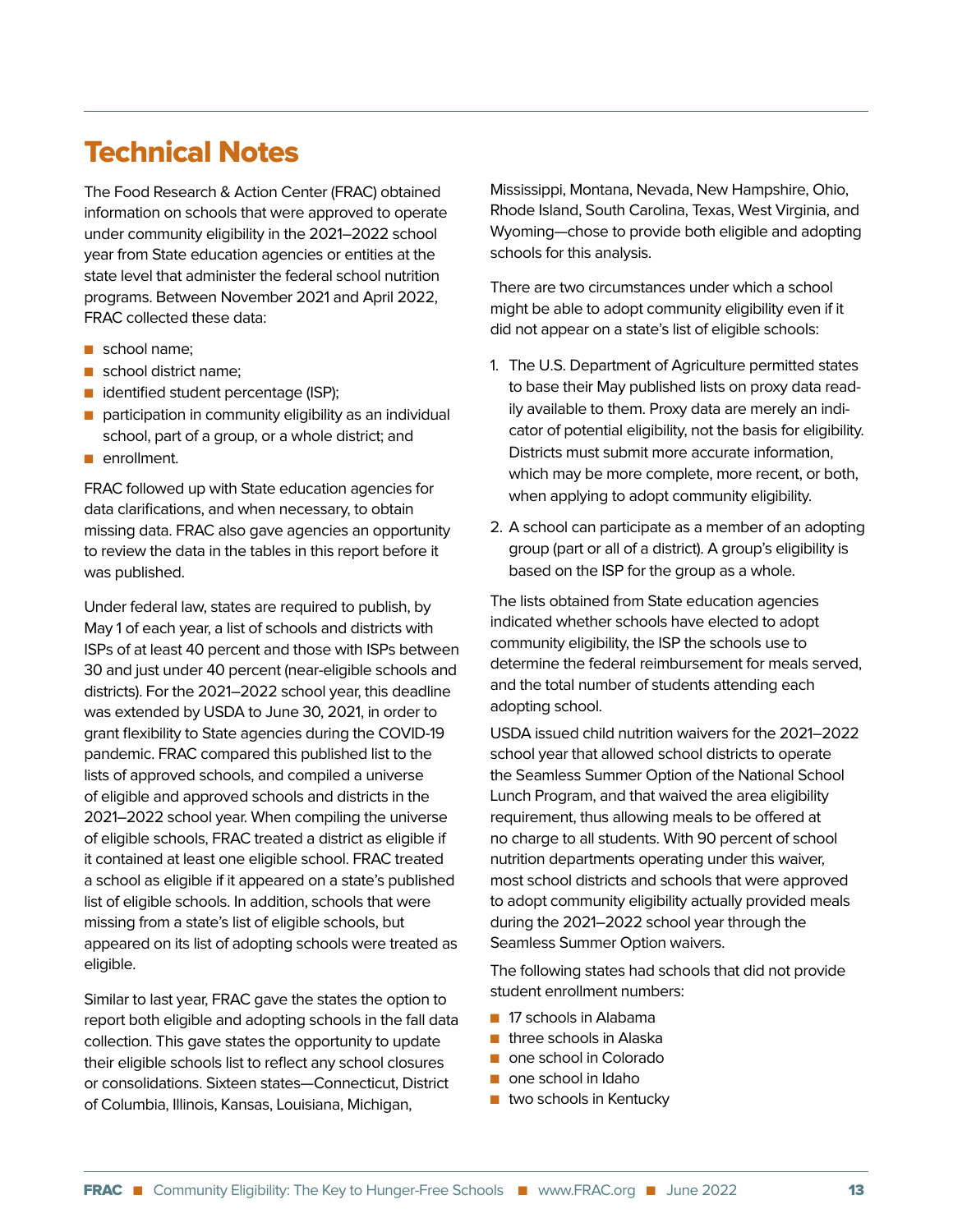### Technical Notes

The Food Research & Action Center (FRAC) obtained information on schools that were approved to operate under community eligibility in the 2021–2022 school year from State education agencies or entities at the state level that administer the federal school nutrition programs. Between November 2021 and April 2022, FRAC collected these data:

- $\blacksquare$  school name;
- $\blacksquare$  school district name:
- identified student percentage (ISP);
- $\blacksquare$  participation in community eligibility as an individual school, part of a group, or a whole district; and
- n enrollment.

FRAC followed up with State education agencies for data clarifications, and when necessary, to obtain missing data. FRAC also gave agencies an opportunity to review the data in the tables in this report before it was published.

Under federal law, states are required to publish, by May 1 of each year, a list of schools and districts with ISPs of at least 40 percent and those with ISPs between 30 and just under 40 percent (near-eligible schools and districts). For the 2021–2022 school year, this deadline was extended by USDA to June 30, 2021, in order to grant flexibility to State agencies during the COVID-19 pandemic. FRAC compared this published list to the lists of approved schools, and compiled a universe of eligible and approved schools and districts in the 2021–2022 school year. When compiling the universe of eligible schools, FRAC treated a district as eligible if it contained at least one eligible school. FRAC treated a school as eligible if it appeared on a state's published list of eligible schools. In addition, schools that were missing from a state's list of eligible schools, but appeared on its list of adopting schools were treated as eligible.

Similar to last year, FRAC gave the states the option to report both eligible and adopting schools in the fall data collection. This gave states the opportunity to update their eligible schools list to reflect any school closures or consolidations. Sixteen states—Connecticut, District of Columbia, Illinois, Kansas, Louisiana, Michigan,

Mississippi, Montana, Nevada, New Hampshire, Ohio, Rhode Island, South Carolina, Texas, West Virginia, and Wyoming—chose to provide both eligible and adopting schools for this analysis.

There are two circumstances under which a school might be able to adopt community eligibility even if it did not appear on a state's list of eligible schools:

- 1. The U.S. Department of Agriculture permitted states to base their May published lists on proxy data readily available to them. Proxy data are merely an indicator of potential eligibility, not the basis for eligibility. Districts must submit more accurate information, which may be more complete, more recent, or both, when applying to adopt community eligibility.
- 2. A school can participate as a member of an adopting group (part or all of a district). A group's eligibility is based on the ISP for the group as a whole.

The lists obtained from State education agencies indicated whether schools have elected to adopt community eligibility, the ISP the schools use to determine the federal reimbursement for meals served, and the total number of students attending each adopting school.

USDA issued child nutrition waivers for the 2021–2022 school year that allowed school districts to operate the Seamless Summer Option of the National School Lunch Program, and that waived the area eligibility requirement, thus allowing meals to be offered at no charge to all students. With 90 percent of school nutrition departments operating under this waiver, most school districts and schools that were approved to adopt community eligibility actually provided meals during the 2021–2022 school year through the Seamless Summer Option waivers.

The following states had schools that did not provide student enrollment numbers:

- **n** 17 schools in Alabama
- $\blacksquare$  three schools in Alaska
- n one school in Colorado
- n one school in Idaho
- $\blacksquare$  two schools in Kentucky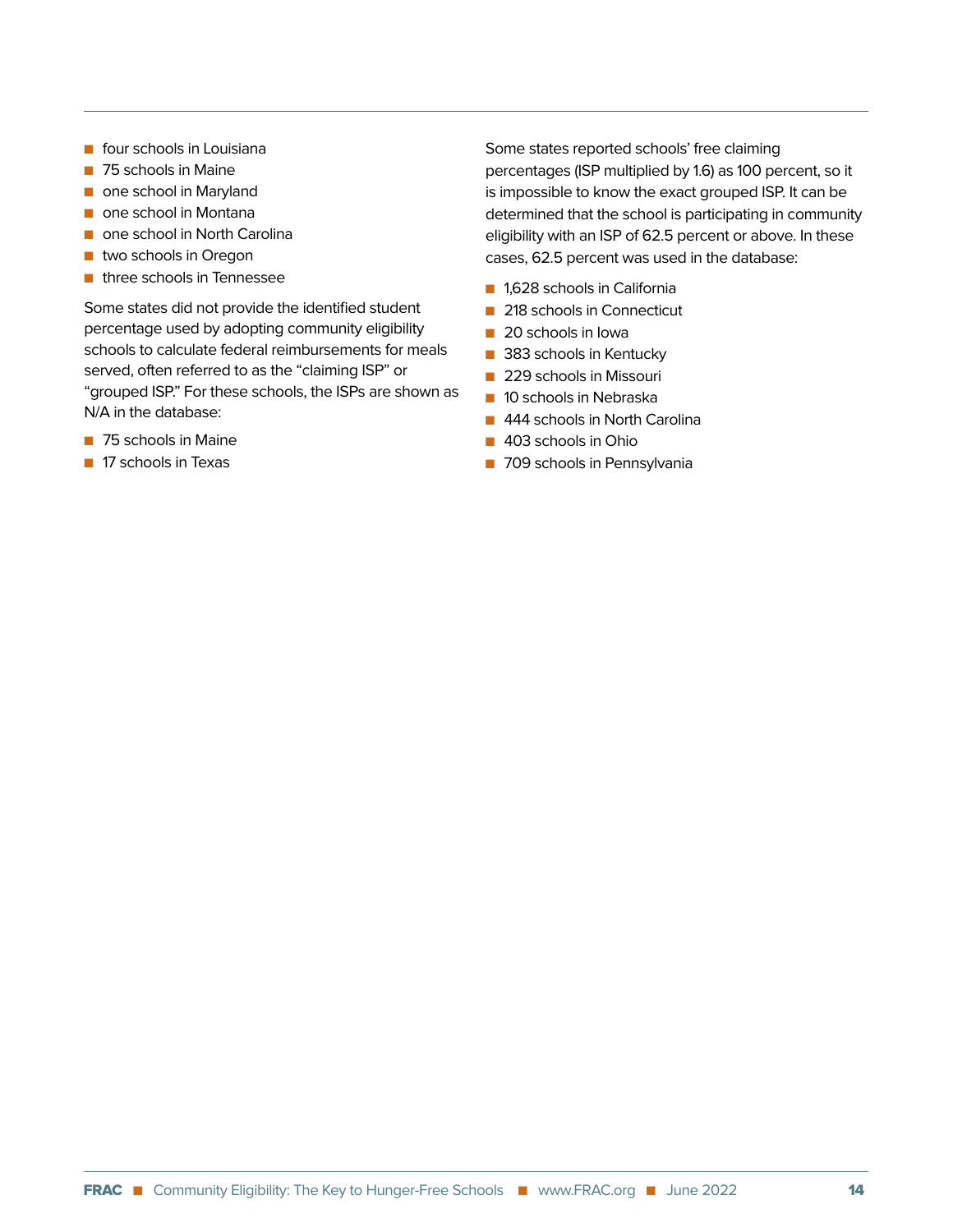- $\blacksquare$  four schools in Louisiana
- 75 schools in Maine
- n one school in Maryland
- $\blacksquare$  one school in Montana
- n one school in North Carolina
- $\blacksquare$  two schools in Oregon
- $\blacksquare$  three schools in Tennessee

Some states did not provide the identified student percentage used by adopting community eligibility schools to calculate federal reimbursements for meals served, often referred to as the "claiming ISP" or "grouped ISP." For these schools, the ISPs are shown as N/A in the database:

- 75 schools in Maine
- **n** 17 schools in Texas

Some states reported schools' free claiming percentages (ISP multiplied by 1.6) as 100 percent, so it is impossible to know the exact grouped ISP. It can be determined that the school is participating in community eligibility with an ISP of 62.5 percent or above. In these cases, 62.5 percent was used in the database:

- 1,628 schools in California
- 218 schools in Connecticut
- 20 schools in Iowa
- 383 schools in Kentucky
- **n** 229 schools in Missouri
- $\blacksquare$  10 schools in Nebraska
- 444 schools in North Carolina
- 403 schools in Ohio
- **n** 709 schools in Pennsylvania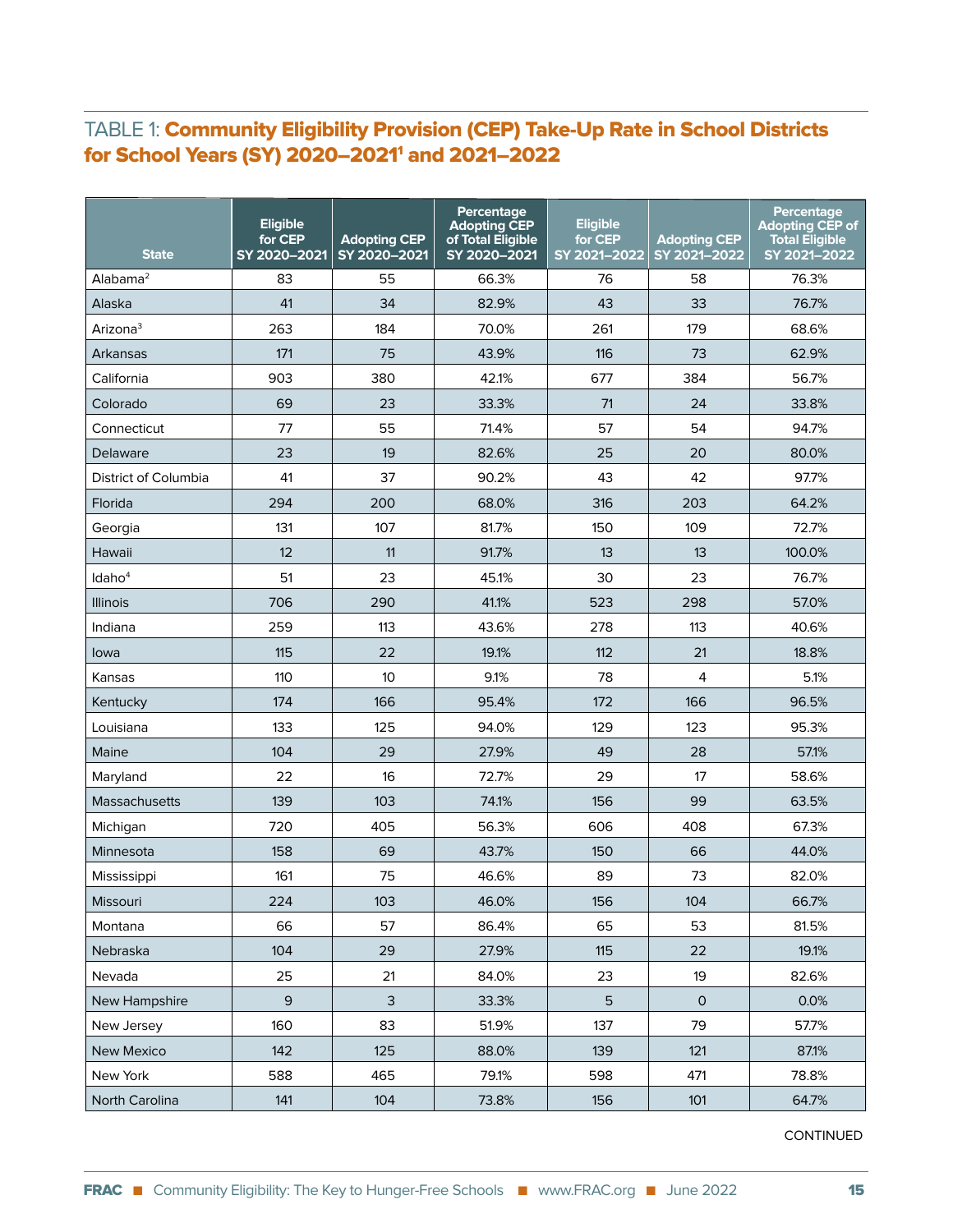#### TABLE 1: Community Eligibility Provision (CEP) Take-Up Rate in School Districts for School Years (SY) 2020–20211 and 2021–2022

| <b>State</b>         | <b>Eligible</b><br>for CEP<br>SY 2020-2021 | <b>Adopting CEP</b><br>SY 2020-2021 | Percentage<br><b>Adopting CEP</b><br>of Total Eligible<br>SY 2020-2021 | <b>Eligible</b><br>for CEP<br>SY 2021-2022 | <b>Adopting CEP</b><br>SY 2021-2022 | Percentage<br><b>Adopting CEP of</b><br><b>Total Eligible</b><br>SY 2021-2022 |
|----------------------|--------------------------------------------|-------------------------------------|------------------------------------------------------------------------|--------------------------------------------|-------------------------------------|-------------------------------------------------------------------------------|
| Alabama <sup>2</sup> | 83                                         | 55                                  | 66.3%                                                                  | 76                                         | 58                                  | 76.3%                                                                         |
| Alaska               | 41                                         | 34                                  | 82.9%                                                                  | 43                                         | 33                                  | 76.7%                                                                         |
| Arizona <sup>3</sup> | 263                                        | 184                                 | 70.0%                                                                  | 261                                        | 179                                 | 68.6%                                                                         |
| Arkansas             | 171                                        | 75                                  | 43.9%                                                                  | 116                                        | 73                                  | 62.9%                                                                         |
| California           | 903                                        | 380                                 | 42.1%                                                                  | 677                                        | 384                                 | 56.7%                                                                         |
| Colorado             | 69                                         | 23                                  | 33.3%                                                                  | 71                                         | 24                                  | 33.8%                                                                         |
| Connecticut          | 77                                         | 55                                  | 71.4%                                                                  | 57                                         | 54                                  | 94.7%                                                                         |
| Delaware             | 23                                         | 19                                  | 82.6%                                                                  | 25                                         | 20                                  | 80.0%                                                                         |
| District of Columbia | 41                                         | 37                                  | 90.2%                                                                  | 43                                         | 42                                  | 97.7%                                                                         |
| Florida              | 294                                        | 200                                 | 68.0%                                                                  | 316                                        | 203                                 | 64.2%                                                                         |
| Georgia              | 131                                        | 107                                 | 81.7%                                                                  | 150                                        | 109                                 | 72.7%                                                                         |
| Hawaii               | 12                                         | 11                                  | 91.7%                                                                  | 13                                         | 13                                  | 100.0%                                                                        |
| Idaho <sup>4</sup>   | 51                                         | 23                                  | 45.1%                                                                  | 30                                         | 23                                  | 76.7%                                                                         |
| <b>Illinois</b>      | 706                                        | 290                                 | 41.1%                                                                  | 523                                        | 298                                 | 57.0%                                                                         |
| Indiana              | 259                                        | 113                                 | 43.6%                                                                  | 278                                        | 113                                 | 40.6%                                                                         |
| lowa                 | 115                                        | 22                                  | 19.1%                                                                  | 112                                        | 21                                  | 18.8%                                                                         |
| Kansas               | 110                                        | 10                                  | 9.1%                                                                   | 78                                         | 4                                   | 5.1%                                                                          |
| Kentucky             | 174                                        | 166                                 | 95.4%                                                                  | 172                                        | 166                                 | 96.5%                                                                         |
| Louisiana            | 133                                        | 125                                 | 94.0%                                                                  | 129                                        | 123                                 | 95.3%                                                                         |
| Maine                | 104                                        | 29                                  | 27.9%                                                                  | 49                                         | 28                                  | 57.1%                                                                         |
| Maryland             | 22                                         | 16                                  | 72.7%                                                                  | 29                                         | 17                                  | 58.6%                                                                         |
| Massachusetts        | 139                                        | 103                                 | 74.1%                                                                  | 156                                        | 99                                  | 63.5%                                                                         |
| Michigan             | 720                                        | 405                                 | 56.3%                                                                  | 606                                        | 408                                 | 67.3%                                                                         |
| Minnesota            | 158                                        | 69                                  | 43.7%                                                                  | 150                                        | 66                                  | 44.0%                                                                         |
| Mississippi          | 161                                        | 75                                  | 46.6%                                                                  | 89                                         | 73                                  | 82.0%                                                                         |
| Missouri             | 224                                        | 103                                 | 46.0%                                                                  | 156                                        | 104                                 | 66.7%                                                                         |
| Montana              | 66                                         | 57                                  | 86.4%                                                                  | 65                                         | 53                                  | 81.5%                                                                         |
| Nebraska             | 104                                        | 29                                  | 27.9%                                                                  | 115                                        | 22                                  | 19.1%                                                                         |
| Nevada               | 25                                         | 21                                  | 84.0%                                                                  | 23                                         | 19                                  | 82.6%                                                                         |
| New Hampshire        | 9                                          | $\mathsf{3}$                        | 33.3%                                                                  | 5                                          | $\mathbf{O}$                        | 0.0%                                                                          |
| New Jersey           | 160                                        | 83                                  | 51.9%                                                                  | 137                                        | 79                                  | 57.7%                                                                         |
| New Mexico           | 142                                        | 125                                 | 88.0%                                                                  | 139                                        | 121                                 | 87.1%                                                                         |
| New York             | 588                                        | 465                                 | 79.1%                                                                  | 598                                        | 471                                 | 78.8%                                                                         |
| North Carolina       | 141                                        | 104                                 | 73.8%                                                                  | 156                                        | 101                                 | 64.7%                                                                         |

CONTINUED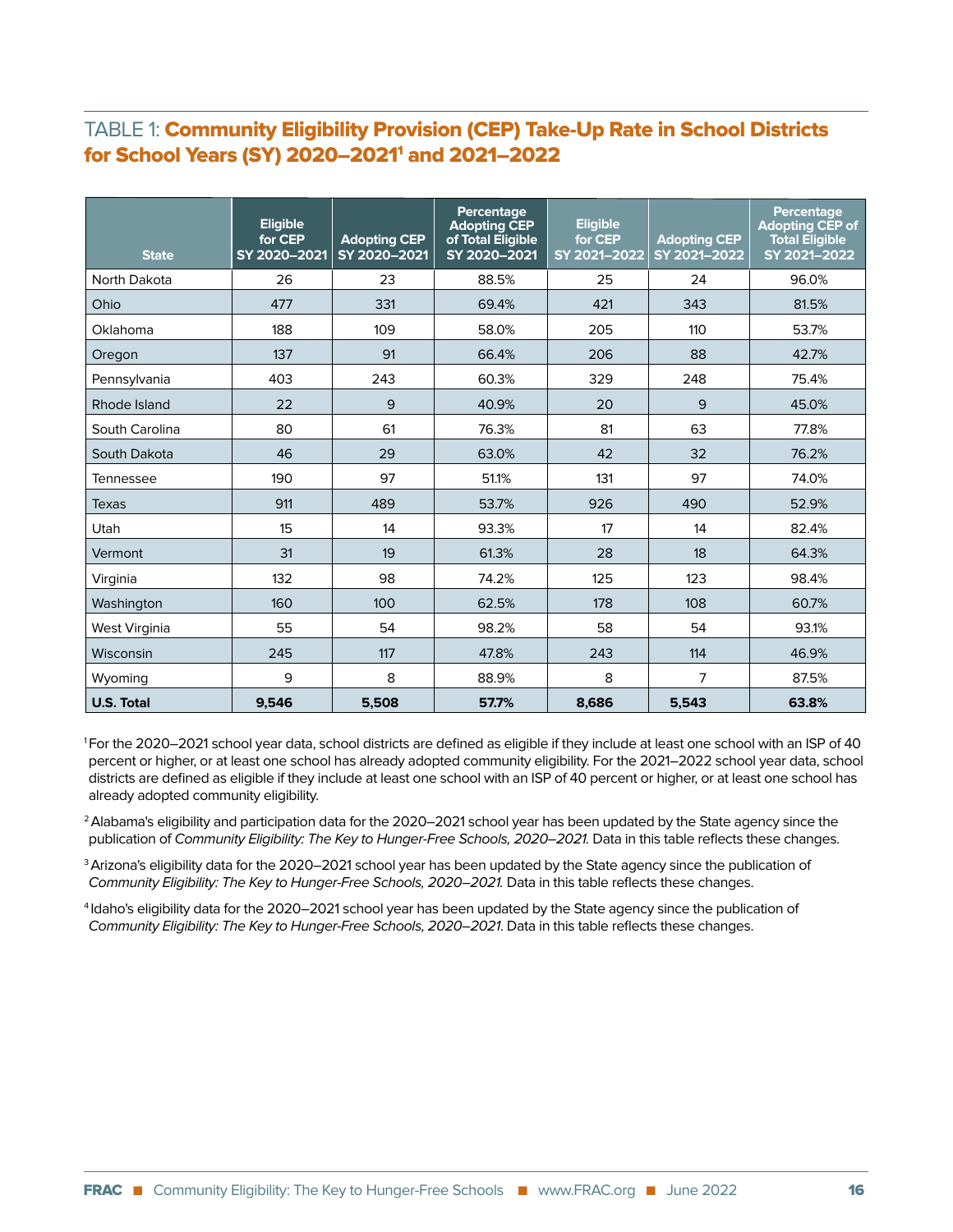#### TABLE 1: Community Eligibility Provision (CEP) Take-Up Rate in School Districts for School Years (SY) 2020–20211 and 2021–2022

| <b>State</b>      | <b>Eligible</b><br>for CEP<br>SY 2020-2021 | <b>Adopting CEP</b><br>SY 2020-2021 | Percentage<br><b>Adopting CEP</b><br>of Total Eligible<br>SY 2020-2021 | <b>Eligible</b><br>for CEP<br>SY 2021-2022 | <b>Adopting CEP</b><br>SY 2021-2022 | Percentage<br><b>Adopting CEP of</b><br><b>Total Eligible</b><br>SY 2021-2022 |
|-------------------|--------------------------------------------|-------------------------------------|------------------------------------------------------------------------|--------------------------------------------|-------------------------------------|-------------------------------------------------------------------------------|
| North Dakota      | 26                                         | 23                                  | 88.5%                                                                  | 25                                         | 24                                  | 96.0%                                                                         |
| Ohio              | 477                                        | 331                                 | 69.4%                                                                  | 421                                        | 343                                 | 81.5%                                                                         |
| Oklahoma          | 188                                        | 109                                 | 58.0%                                                                  | 205                                        | 110                                 | 53.7%                                                                         |
| Oregon            | 137                                        | 91                                  | 66.4%                                                                  | 206                                        | 88                                  | 42.7%                                                                         |
| Pennsylvania      | 403                                        | 243                                 | 60.3%                                                                  | 329                                        | 248                                 | 75.4%                                                                         |
| Rhode Island      | 22                                         | 9                                   | 40.9%                                                                  | 20                                         | 9                                   | 45.0%                                                                         |
| South Carolina    | 80                                         | 61                                  | 76.3%                                                                  | 81                                         | 63                                  | 77.8%                                                                         |
| South Dakota      | 46                                         | 29                                  | 63.0%                                                                  | 42                                         | 32                                  | 76.2%                                                                         |
| Tennessee         | 190                                        | 97                                  | 51.1%                                                                  | 131                                        | 97                                  | 74.0%                                                                         |
| Texas             | 911                                        | 489                                 | 53.7%                                                                  | 926                                        | 490                                 | 52.9%                                                                         |
| <b>Utah</b>       | 15                                         | 14                                  | 93.3%                                                                  | 17                                         | 14                                  | 82.4%                                                                         |
| Vermont           | 31                                         | 19                                  | 61.3%                                                                  | 28                                         | 18                                  | 64.3%                                                                         |
| Virginia          | 132                                        | 98                                  | 74.2%                                                                  | 125                                        | 123                                 | 98.4%                                                                         |
| Washington        | 160                                        | 100                                 | 62.5%                                                                  | 178                                        | 108                                 | 60.7%                                                                         |
| West Virginia     | 55                                         | 54                                  | 98.2%                                                                  | 58                                         | 54                                  | 93.1%                                                                         |
| Wisconsin         | 245                                        | 117                                 | 47.8%                                                                  | 243                                        | 114                                 | 46.9%                                                                         |
| Wyoming           | 9                                          | 8                                   | 88.9%                                                                  | 8                                          | 7                                   | 87.5%                                                                         |
| <b>U.S. Total</b> | 9,546                                      | 5,508                               | 57.7%                                                                  | 8,686                                      | 5,543                               | 63.8%                                                                         |

1 For the 2020–2021 school year data, school districts are defined as eligible if they include at least one school with an ISP of 40 percent or higher, or at least one school has already adopted community eligibility. For the 2021–2022 school year data, school districts are defined as eligible if they include at least one school with an ISP of 40 percent or higher, or at least one school has already adopted community eligibility.

<sup>2</sup> Alabama's eligibility and participation data for the 2020–2021 school year has been updated by the State agency since the publication of Community Eligibility: The Key to Hunger-Free Schools, 2020–2021. Data in this table reflects these changes.

<sup>3</sup> Arizona's eligibility data for the 2020–2021 school year has been updated by the State agency since the publication of Community Eligibility: The Key to Hunger-Free Schools, 2020–2021. Data in this table reflects these changes.

4 Idaho's eligibility data for the 2020–2021 school year has been updated by the State agency since the publication of Community Eligibility: The Key to Hunger-Free Schools, 2020–2021. Data in this table reflects these changes.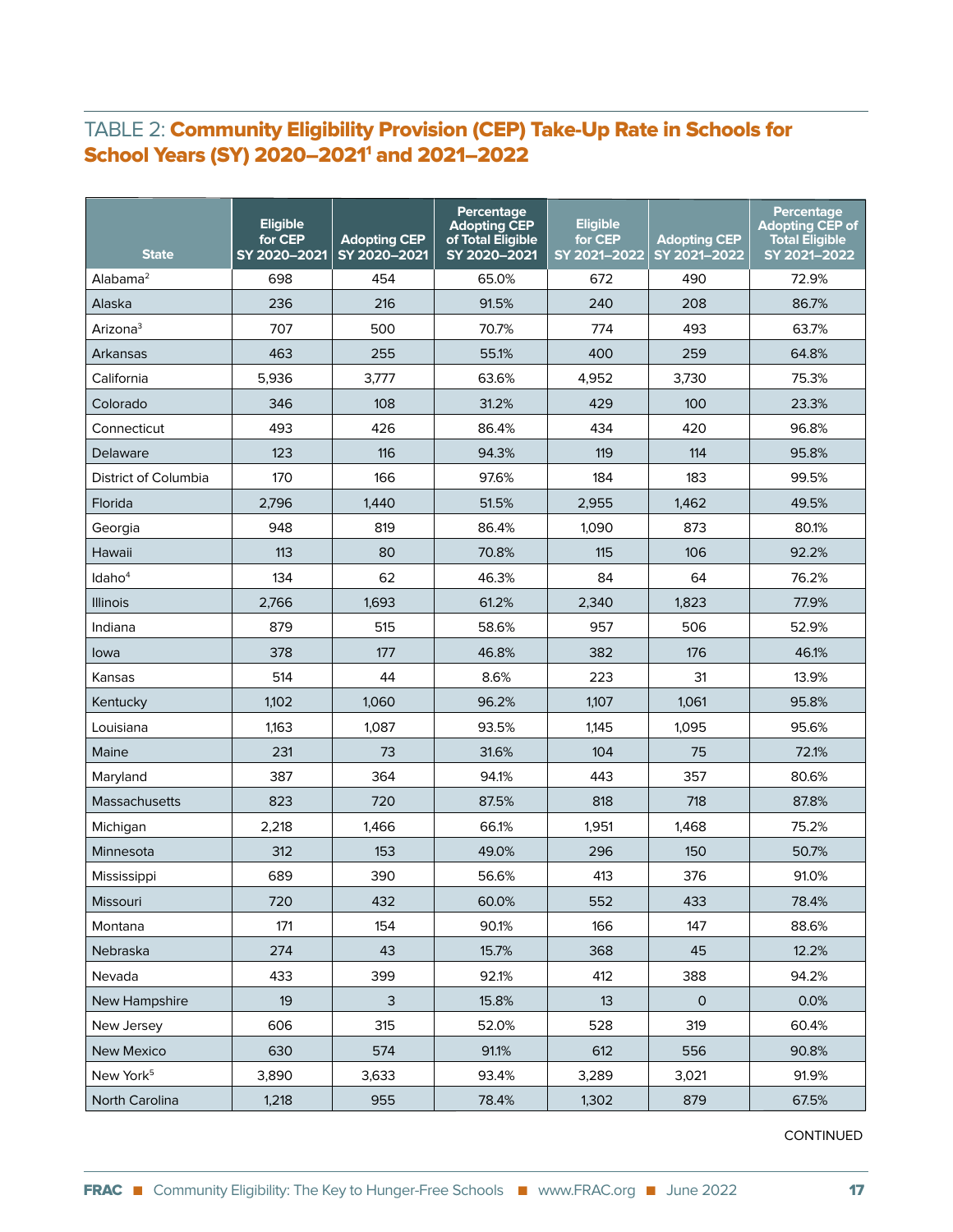#### TABLE 2: Community Eligibility Provision (CEP) Take-Up Rate in Schools for School Years (SY) 2020–2021<sup>1</sup> and 2021–2022

| <b>State</b>          | <b>Eligible</b><br>for CEP<br>SY 2020-2021 | <b>Adopting CEP</b><br>SY 2020-2021 | Percentage<br><b>Adopting CEP</b><br>of Total Eligible<br>SY 2020-2021 | <b>Eligible</b><br>for CEP<br>SY 2021-2022 | <b>Adopting CEP</b><br>SY 2021-2022 | Percentage<br><b>Adopting CEP of</b><br><b>Total Eligible</b><br>SY 2021-2022 |
|-----------------------|--------------------------------------------|-------------------------------------|------------------------------------------------------------------------|--------------------------------------------|-------------------------------------|-------------------------------------------------------------------------------|
| Alabama <sup>2</sup>  | 698                                        | 454                                 | 65.0%                                                                  | 672                                        | 490                                 | 72.9%                                                                         |
| Alaska                | 236                                        | 216                                 | 91.5%                                                                  | 240                                        | 208                                 | 86.7%                                                                         |
| Arizona <sup>3</sup>  | 707                                        | 500                                 | 70.7%                                                                  | 774                                        | 493                                 | 63.7%                                                                         |
| Arkansas              | 463                                        | 255                                 | 55.1%                                                                  | 400                                        | 259                                 | 64.8%                                                                         |
| California            | 5,936                                      | 3,777                               | 63.6%                                                                  | 4,952                                      | 3,730                               | 75.3%                                                                         |
| Colorado              | 346                                        | 108                                 | 31.2%                                                                  | 429                                        | 100                                 | 23.3%                                                                         |
| Connecticut           | 493                                        | 426                                 | 86.4%                                                                  | 434                                        | 420                                 | 96.8%                                                                         |
| Delaware              | 123                                        | 116                                 | 94.3%                                                                  | 119                                        | 114                                 | 95.8%                                                                         |
| District of Columbia  | 170                                        | 166                                 | 97.6%                                                                  | 184                                        | 183                                 | 99.5%                                                                         |
| Florida               | 2,796                                      | 1.440                               | 51.5%                                                                  | 2,955                                      | 1,462                               | 49.5%                                                                         |
| Georgia               | 948                                        | 819                                 | 86.4%                                                                  | 1,090                                      | 873                                 | 80.1%                                                                         |
| Hawaii                | 113                                        | 80                                  | 70.8%                                                                  | 115                                        | 106                                 | 92.2%                                                                         |
| Idaho <sup>4</sup>    | 134                                        | 62                                  | 46.3%                                                                  | 84                                         | 64                                  | 76.2%                                                                         |
| <b>Illinois</b>       | 2,766                                      | 1,693                               | 61.2%                                                                  | 2,340                                      | 1,823                               | 77.9%                                                                         |
| Indiana               | 879                                        | 515                                 | 58.6%                                                                  | 957                                        | 506                                 | 52.9%                                                                         |
| Iowa                  | 378                                        | 177                                 | 46.8%                                                                  | 382                                        | 176                                 | 46.1%                                                                         |
| Kansas                | 514                                        | 44                                  | 8.6%                                                                   | 223                                        | 31                                  | 13.9%                                                                         |
| Kentucky              | 1,102                                      | 1,060                               | 96.2%                                                                  | 1,107                                      | 1,061                               | 95.8%                                                                         |
| Louisiana             | 1,163                                      | 1,087                               | 93.5%                                                                  | 1,145                                      | 1,095                               | 95.6%                                                                         |
| Maine                 | 231                                        | 73                                  | 31.6%                                                                  | 104                                        | 75                                  | 72.1%                                                                         |
| Maryland              | 387                                        | 364                                 | 94.1%                                                                  | 443                                        | 357                                 | 80.6%                                                                         |
| <b>Massachusetts</b>  | 823                                        | 720                                 | 87.5%                                                                  | 818                                        | 718                                 | 87.8%                                                                         |
| Michigan              | 2,218                                      | 1,466                               | 66.1%                                                                  | 1,951                                      | 1,468                               | 75.2%                                                                         |
| Minnesota             | 312                                        | 153                                 | 49.0%                                                                  | 296                                        | 150                                 | 50.7%                                                                         |
| Mississippi           | 689                                        | 390                                 | 56.6%                                                                  | 413                                        | 376                                 | 91.0%                                                                         |
| Missouri              | 720                                        | 432                                 | 60.0%                                                                  | 552                                        | 433                                 | 78.4%                                                                         |
| Montana               | 171                                        | 154                                 | 90.1%                                                                  | 166                                        | 147                                 | 88.6%                                                                         |
| Nebraska              | 274                                        | 43                                  | 15.7%                                                                  | 368                                        | 45                                  | 12.2%                                                                         |
| Nevada                | 433                                        | 399                                 | 92.1%                                                                  | 412                                        | 388                                 | 94.2%                                                                         |
| New Hampshire         | 19                                         | $\mathsf{3}$                        | 15.8%                                                                  | 13                                         | $\mathsf{O}$                        | 0.0%                                                                          |
| New Jersey            | 606                                        | 315                                 | 52.0%                                                                  | 528                                        | 319                                 | 60.4%                                                                         |
| <b>New Mexico</b>     | 630                                        | 574                                 | 91.1%                                                                  | 612                                        | 556                                 | 90.8%                                                                         |
| New York <sup>5</sup> | 3,890                                      | 3,633                               | 93.4%                                                                  | 3,289                                      | 3,021                               | 91.9%                                                                         |
| North Carolina        | 1,218                                      | 955                                 | 78.4%                                                                  | 1,302                                      | 879                                 | 67.5%                                                                         |

CONTINUED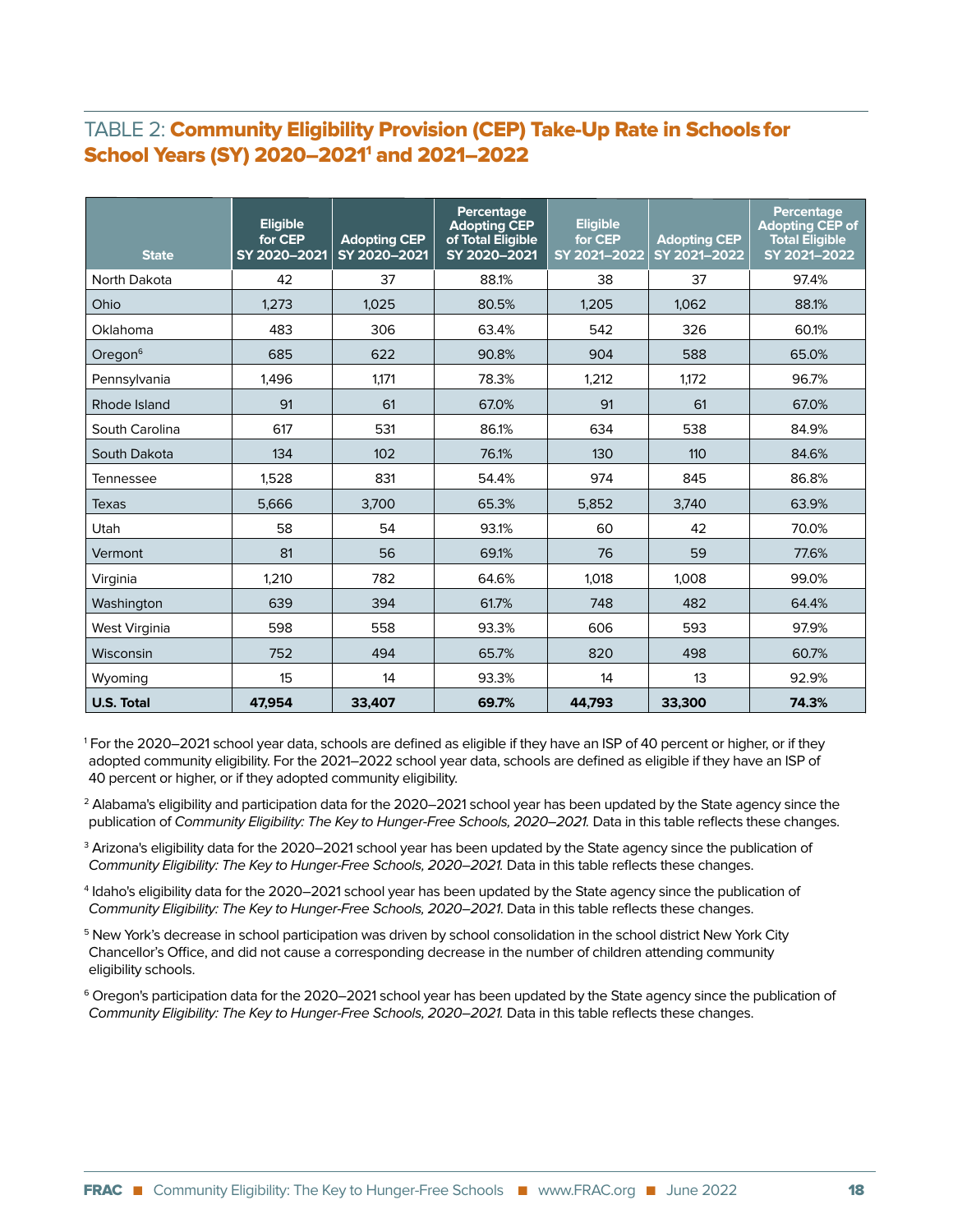#### TABLE 2: Community Eligibility Provision (CEP) Take-Up Rate in Schoolsfor School Years (SY) 2020–2021<sup>1</sup> and 2021–2022

| <b>State</b>         | <b>Eligible</b><br>for CEP<br>SY 2020-2021 | <b>Adopting CEP</b><br>SY 2020-2021 | Percentage<br><b>Adopting CEP</b><br>of Total Eligible<br>SY 2020-2021 | <b>Eligible</b><br>for CEP<br>SY 2021-2022 | <b>Adopting CEP</b><br>SY 2021-2022 | <b>Percentage</b><br><b>Adopting CEP of</b><br><b>Total Eligible</b><br>SY 2021-2022 |
|----------------------|--------------------------------------------|-------------------------------------|------------------------------------------------------------------------|--------------------------------------------|-------------------------------------|--------------------------------------------------------------------------------------|
| North Dakota         | 42                                         | 37                                  | 88.1%                                                                  | 38                                         | 37                                  | 97.4%                                                                                |
| Ohio                 | 1,273                                      | 1,025                               | 80.5%                                                                  | 1,205                                      | 1.062                               | 88.1%                                                                                |
| Oklahoma             | 483                                        | 306                                 | 63.4%                                                                  | 542                                        | 326                                 | 60.1%                                                                                |
| Oregon $6$           | 685                                        | 622                                 | 90.8%                                                                  | 904                                        | 588                                 | 65.0%                                                                                |
| Pennsylvania         | 1,496                                      | 1.171                               | 78.3%                                                                  | 1,212                                      | 1.172                               | 96.7%                                                                                |
| Rhode Island         | 91                                         | 61                                  | 67.0%                                                                  | 91                                         | 61                                  | 67.0%                                                                                |
| South Carolina       | 617                                        | 531                                 | 86.1%                                                                  | 634                                        | 538                                 | 84.9%                                                                                |
| South Dakota         | 134                                        | 102                                 | 76.1%                                                                  | 130                                        | 110                                 | 84.6%                                                                                |
| Tennessee            | 1,528                                      | 831                                 | 54.4%                                                                  | 974                                        | 845                                 | 86.8%                                                                                |
| Texas                | 5.666                                      | 3.700                               | 65.3%                                                                  | 5,852                                      | 3,740                               | 63.9%                                                                                |
| Utah                 | 58                                         | 54                                  | 93.1%                                                                  | 60                                         | 42                                  | 70.0%                                                                                |
| Vermont              | 81                                         | 56                                  | 69.1%                                                                  | 76                                         | 59                                  | 77.6%                                                                                |
| Virginia             | 1,210                                      | 782                                 | 64.6%                                                                  | 1,018                                      | 1,008                               | 99.0%                                                                                |
| Washington           | 639                                        | 394                                 | 61.7%                                                                  | 748                                        | 482                                 | 64.4%                                                                                |
| <b>West Virginia</b> | 598                                        | 558                                 | 93.3%                                                                  | 606                                        | 593                                 | 97.9%                                                                                |
| Wisconsin            | 752                                        | 494                                 | 65.7%                                                                  | 820                                        | 498                                 | 60.7%                                                                                |
| Wyoming              | 15                                         | 14                                  | 93.3%                                                                  | 14                                         | 13                                  | 92.9%                                                                                |
| <b>U.S. Total</b>    | 47,954                                     | 33,407                              | 69.7%                                                                  | 44,793                                     | 33,300                              | 74.3%                                                                                |

1 For the 2020–2021 school year data, schools are defined as eligible if they have an ISP of 40 percent or higher, or if they adopted community eligibility. For the 2021–2022 school year data, schools are defined as eligible if they have an ISP of 40 percent or higher, or if they adopted community eligibility.

 $^{\rm 2}$  Alabama's eligibility and participation data for the 2020–2021 school year has been updated by the State agency since the publication of Community Eligibility: The Key to Hunger-Free Schools, 2020–2021. Data in this table reflects these changes.

 $^3$  Arizona's eligibility data for the 2020–2021 school year has been updated by the State agency since the publication of Community Eligibility: The Key to Hunger-Free Schools, 2020–2021. Data in this table reflects these changes.

4 Idaho's eligibility data for the 2020–2021 school year has been updated by the State agency since the publication of Community Eligibility: The Key to Hunger-Free Schools, 2020–2021. Data in this table reflects these changes.

<sup>5</sup> New York's decrease in school participation was driven by school consolidation in the school district New York City Chancellor's Office, and did not cause a corresponding decrease in the number of children attending community eligibility schools.

 $\rm ^6$  Oregon's participation data for the 2020–2021 school year has been updated by the State agency since the publication of Community Eligibility: The Key to Hunger-Free Schools, 2020–2021. Data in this table reflects these changes.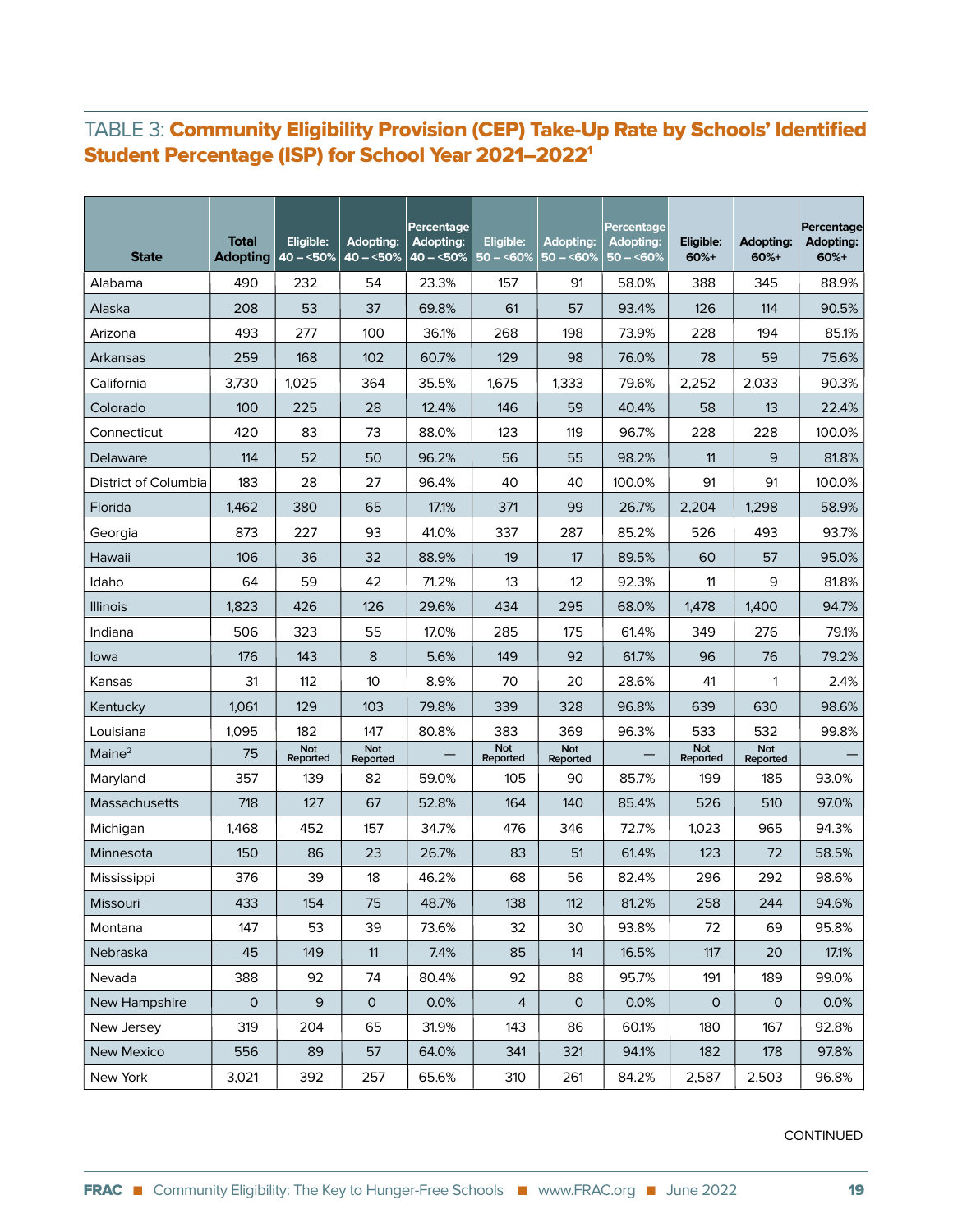#### TABLE 3: Community Eligibility Provision (CEP) Take-Up Rate by Schools' Identified Student Percentage (ISP) for School Year 2021–20221

| <b>State</b>         | <b>Total</b><br><b>Adopting</b> | Eligible:<br>$ 40 - 50\% $ | <b>Adopting:</b><br>$40 - 50%$ | Percentage<br><b>Adopting:</b><br>$40 - 50%$ | Eligible:<br>$50 - 50\%$ | Adopting:<br>$50 - 60%$ | <b>Percentage</b><br><b>Adopting:</b><br>$50 - 50%$ | Eligible:<br>$60%+$    | <b>Adopting:</b><br>60%+ | Percentage<br>Adopting:<br>60%+ |
|----------------------|---------------------------------|----------------------------|--------------------------------|----------------------------------------------|--------------------------|-------------------------|-----------------------------------------------------|------------------------|--------------------------|---------------------------------|
| Alabama              | 490                             | 232                        | 54                             | 23.3%                                        | 157                      | 91                      | 58.0%                                               | 388                    | 345                      | 88.9%                           |
| Alaska               | 208                             | 53                         | 37                             | 69.8%                                        | 61                       | 57                      | 93.4%                                               | 126                    | 114                      | 90.5%                           |
| Arizona              | 493                             | 277                        | 100                            | 36.1%                                        | 268                      | 198                     | 73.9%                                               | 228                    | 194                      | 85.1%                           |
| Arkansas             | 259                             | 168                        | 102                            | 60.7%                                        | 129                      | 98                      | 76.0%                                               | 78                     | 59                       | 75.6%                           |
| California           | 3,730                           | 1,025                      | 364                            | 35.5%                                        | 1,675                    | 1,333                   | 79.6%                                               | 2,252                  | 2.033                    | 90.3%                           |
| Colorado             | 100                             | 225                        | 28                             | 12.4%                                        | 146                      | 59                      | 40.4%                                               | 58                     | 13                       | 22.4%                           |
| Connecticut          | 420                             | 83                         | 73                             | 88.0%                                        | 123                      | 119                     | 96.7%                                               | 228                    | 228                      | 100.0%                          |
| Delaware             | 114                             | 52                         | 50                             | 96.2%                                        | 56                       | 55                      | 98.2%                                               | 11                     | 9                        | 81.8%                           |
| District of Columbia | 183                             | 28                         | 27                             | 96.4%                                        | 40                       | 40                      | 100.0%                                              | 91                     | 91                       | 100.0%                          |
| Florida              | 1,462                           | 380                        | 65                             | 17.1%                                        | 371                      | 99                      | 26.7%                                               | 2,204                  | 1,298                    | 58.9%                           |
| Georgia              | 873                             | 227                        | 93                             | 41.0%                                        | 337                      | 287                     | 85.2%                                               | 526                    | 493                      | 93.7%                           |
| Hawaii               | 106                             | 36                         | 32                             | 88.9%                                        | 19                       | 17                      | 89.5%                                               | 60                     | 57                       | 95.0%                           |
| Idaho                | 64                              | 59                         | 42                             | 71.2%                                        | 13                       | 12                      | 92.3%                                               | 11                     | 9                        | 81.8%                           |
| <b>Illinois</b>      | 1,823                           | 426                        | 126                            | 29.6%                                        | 434                      | 295                     | 68.0%                                               | 1,478                  | 1,400                    | 94.7%                           |
| Indiana              | 506                             | 323                        | 55                             | 17.0%                                        | 285                      | 175                     | 61.4%                                               | 349                    | 276                      | 79.1%                           |
| lowa                 | 176                             | 143                        | 8                              | 5.6%                                         | 149                      | 92                      | 61.7%                                               | 96                     | 76                       | 79.2%                           |
| Kansas               | 31                              | 112                        | 10 <sup>1</sup>                | 8.9%                                         | 70                       | 20                      | 28.6%                                               | 41                     | 1                        | 2.4%                            |
| Kentucky             | 1,061                           | 129                        | 103                            | 79.8%                                        | 339                      | 328                     | 96.8%                                               | 639                    | 630                      | 98.6%                           |
| Louisiana            | 1,095                           | 182                        | 147                            | 80.8%                                        | 383                      | 369                     | 96.3%                                               | 533                    | 532                      | 99.8%                           |
| Maine <sup>2</sup>   | 75                              | <b>Not</b><br>Reported     | Not<br>Reported                |                                              | Not<br>Reported          | Not<br>Reported         |                                                     | <b>Not</b><br>Reported | Not<br>Reported          |                                 |
| Maryland             | 357                             | 139                        | 82                             | 59.0%                                        | 105                      | 90                      | 85.7%                                               | 199                    | 185                      | 93.0%                           |
| Massachusetts        | 718                             | 127                        | 67                             | 52.8%                                        | 164                      | 140                     | 85.4%                                               | 526                    | 510                      | 97.0%                           |
| Michigan             | 1,468                           | 452                        | 157                            | 34.7%                                        | 476                      | 346                     | 72.7%                                               | 1,023                  | 965                      | 94.3%                           |
| Minnesota            | 150                             | 86                         | 23                             | 26.7%                                        | 83                       | 51                      | 61.4%                                               | 123                    | 72                       | 58.5%                           |
| Mississippi          | 376                             | 39                         | 18                             | 46.2%                                        | 68                       | 56                      | 82.4%                                               | 296                    | 292                      | 98.6%                           |
| Missouri             | 433                             | 154                        | 75                             | 48.7%                                        | 138                      | 112                     | 81.2%                                               | 258                    | 244                      | 94.6%                           |
| Montana              | 147                             | 53                         | 39                             | 73.6%                                        | 32                       | 30                      | 93.8%                                               | 72                     | 69                       | 95.8%                           |
| Nebraska             | 45                              | 149                        | 11                             | 7.4%                                         | 85                       | 14                      | 16.5%                                               | 117                    | 20                       | 17.1%                           |
| Nevada               | 388                             | 92                         | 74                             | 80.4%                                        | 92                       | 88                      | 95.7%                                               | 191                    | 189                      | 99.0%                           |
| New Hampshire        | 0                               | $\mathsf 9$                | $\mathsf{O}$                   | 0.0%                                         | $\overline{4}$           | $\mathsf{O}$            | 0.0%                                                | $\mathsf{O}$           | $\mathsf{O}$             | 0.0%                            |
| New Jersey           | 319                             | 204                        | 65                             | 31.9%                                        | 143                      | 86                      | 60.1%                                               | 180                    | 167                      | 92.8%                           |
| <b>New Mexico</b>    | 556                             | 89                         | 57                             | 64.0%                                        | 341                      | 321                     | 94.1%                                               | 182                    | 178                      | 97.8%                           |
| New York             | 3,021                           | 392                        | 257                            | 65.6%                                        | 310                      | 261                     | 84.2%                                               | 2,587                  | 2,503                    | 96.8%                           |

CONTINUED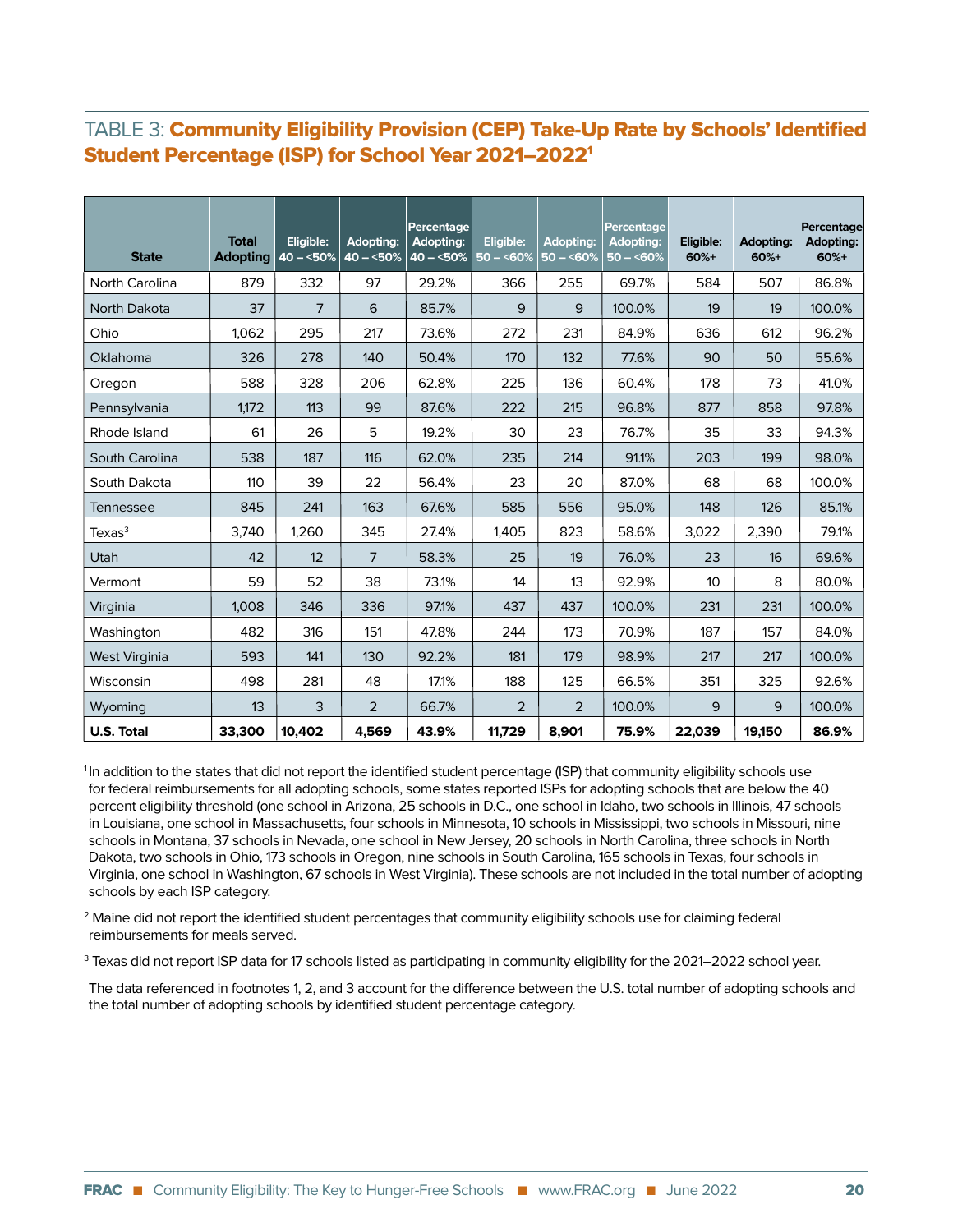#### TABLE 3: Community Eligibility Provision (CEP) Take-Up Rate by Schools' Identified Student Percentage (ISP) for School Year 2021–20221

| <b>State</b>         | <b>Total</b><br><b>Adopting</b> | Eligible:<br>$40 - 50%$ | <b>Adopting:</b><br>$40 - 50%$ | Percentage<br><b>Adopting:</b><br>$40 - 50%$ | Eligible:<br>$50 - 50\%$ | <b>Adopting:</b><br>$50 - 50\%$ | Percentage<br><b>Adopting:</b><br>$50 - 60%$ | Eligible:<br>$60%+$ | <b>Adopting:</b><br>$60%+$ | Percentage<br>Adopting:<br>$60%+$ |
|----------------------|---------------------------------|-------------------------|--------------------------------|----------------------------------------------|--------------------------|---------------------------------|----------------------------------------------|---------------------|----------------------------|-----------------------------------|
| North Carolina       | 879                             | 332                     | 97                             | 29.2%                                        | 366                      | 255                             | 69.7%                                        | 584                 | 507                        | 86.8%                             |
| North Dakota         | 37                              | 7                       | 6                              | 85.7%                                        | 9                        | 9                               | 100.0%                                       | 19                  | 19                         | 100.0%                            |
| Ohio                 | 1.062                           | 295                     | 217                            | 73.6%                                        | 272                      | 231                             | 84.9%                                        | 636                 | 612                        | 96.2%                             |
| <b>Oklahoma</b>      | 326                             | 278                     | 140                            | 50.4%                                        | 170                      | 132                             | 77.6%                                        | 90                  | 50                         | 55.6%                             |
| Oregon               | 588                             | 328                     | 206                            | 62.8%                                        | 225                      | 136                             | 60.4%                                        | 178                 | 73                         | 41.0%                             |
| Pennsylvania         | 1,172                           | 113                     | 99                             | 87.6%                                        | 222                      | 215                             | 96.8%                                        | 877                 | 858                        | 97.8%                             |
| Rhode Island         | 61                              | 26                      | 5                              | 19.2%                                        | 30                       | 23                              | 76.7%                                        | 35                  | 33                         | 94.3%                             |
| South Carolina       | 538                             | 187                     | 116                            | 62.0%                                        | 235                      | 214                             | 91.1%                                        | 203                 | 199                        | 98.0%                             |
| South Dakota         | 110                             | 39                      | 22                             | 56.4%                                        | 23                       | 20                              | 87.0%                                        | 68                  | 68                         | 100.0%                            |
| Tennessee            | 845                             | 241                     | 163                            | 67.6%                                        | 585                      | 556                             | 95.0%                                        | 148                 | 126                        | 85.1%                             |
| Texas <sup>3</sup>   | 3,740                           | 1,260                   | 345                            | 27.4%                                        | 1,405                    | 823                             | 58.6%                                        | 3,022               | 2,390                      | 79.1%                             |
| Utah                 | 42                              | 12                      | 7                              | 58.3%                                        | 25                       | 19                              | 76.0%                                        | 23                  | 16                         | 69.6%                             |
| Vermont              | 59                              | 52                      | 38                             | 73.1%                                        | 14                       | 13                              | 92.9%                                        | 10 <sup>°</sup>     | 8                          | 80.0%                             |
| Virginia             | 1.008                           | 346                     | 336                            | 97.1%                                        | 437                      | 437                             | 100.0%                                       | 231                 | 231                        | 100.0%                            |
| Washington           | 482                             | 316                     | 151                            | 47.8%                                        | 244                      | 173                             | 70.9%                                        | 187                 | 157                        | 84.0%                             |
| <b>West Virginia</b> | 593                             | 141                     | 130                            | 92.2%                                        | 181                      | 179                             | 98.9%                                        | 217                 | 217                        | 100.0%                            |
| Wisconsin            | 498                             | 281                     | 48                             | 17.1%                                        | 188                      | 125                             | 66.5%                                        | 351                 | 325                        | 92.6%                             |
| Wyoming              | 13                              | 3                       | $\overline{2}$                 | 66.7%                                        | 2                        | $\overline{2}$                  | 100.0%                                       | 9                   | 9                          | 100.0%                            |
| <b>U.S. Total</b>    | 33,300                          | 10,402                  | 4,569                          | 43.9%                                        | 11,729                   | 8,901                           | 75.9%                                        | 22,039              | 19,150                     | 86.9%                             |

<sup>1</sup>In addition to the states that did not report the identified student percentage (ISP) that community eligibility schools use for federal reimbursements for all adopting schools, some states reported ISPs for adopting schools that are below the 40 percent eligibility threshold (one school in Arizona, 25 schools in D.C., one school in Idaho, two schools in Illinois, 47 schools in Louisiana, one school in Massachusetts, four schools in Minnesota, 10 schools in Mississippi, two schools in Missouri, nine schools in Montana, 37 schools in Nevada, one school in New Jersey, 20 schools in North Carolina, three schools in North Dakota, two schools in Ohio, 173 schools in Oregon, nine schools in South Carolina, 165 schools in Texas, four schools in Virginia, one school in Washington, 67 schools in West Virginia). These schools are not included in the total number of adopting schools by each ISP category.

2 Maine did not report the identified student percentages that community eligibility schools use for claiming federal reimbursements for meals served.

 $^3$  Texas did not report ISP data for 17 schools listed as participating in community eligibility for the 2021–2022 school year.

The data referenced in footnotes 1, 2, and 3 account for the difference between the U.S. total number of adopting schools and the total number of adopting schools by identified student percentage category.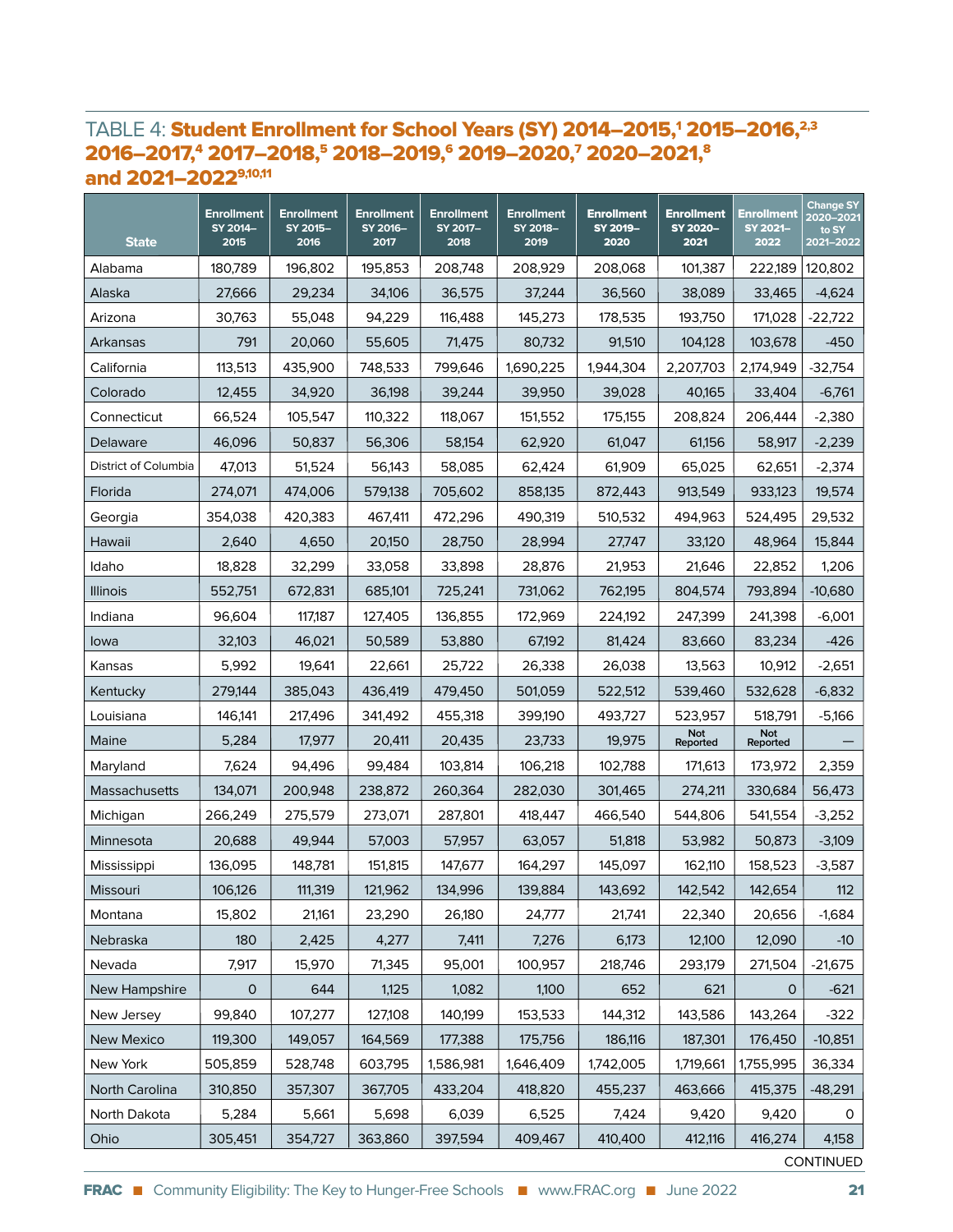#### TABLE 4: Student Enrollment for School Years (SY) 2014–2015,<sup>1</sup> 2015–2016,<sup>2,3</sup> 2016-2017,<sup>4</sup> 2017-2018,<sup>5</sup> 2018-2019,<sup>6</sup> 2019-2020,<sup>7</sup> 2020-2021,<sup>8</sup> and 2021–20229,10,11

| <b>State</b>         | <b>Enrollment</b><br>SY 2014-<br>2015 | <b>Enrollment</b><br>SY 2015-<br>2016 | Enrollment<br>SY 2016-<br>2017 | <b>Enrollment</b><br>SY 2017-<br>2018 | <b>Enrollment</b><br>SY 2018-<br>2019 | <b>Enrollment</b><br>SY 2019-<br>2020 | <b>Enrollment</b><br>SY 2020-<br>2021 | <b>Enrollment</b><br>SY 2021-<br>2022 | <b>Change SY</b><br>2020-2021<br>to SY<br>2021-2022 |
|----------------------|---------------------------------------|---------------------------------------|--------------------------------|---------------------------------------|---------------------------------------|---------------------------------------|---------------------------------------|---------------------------------------|-----------------------------------------------------|
| Alabama              | 180,789                               | 196,802                               | 195,853                        | 208,748                               | 208,929                               | 208,068                               | 101,387                               | 222,189                               | 120,802                                             |
| Alaska               | 27,666                                | 29,234                                | 34,106                         | 36,575                                | 37,244                                | 36,560                                | 38,089                                | 33,465                                | $-4,624$                                            |
| Arizona              | 30,763                                | 55,048                                | 94,229                         | 116,488                               | 145,273                               | 178,535                               | 193,750                               | 171,028                               | $-22,722$                                           |
| Arkansas             | 791                                   | 20,060                                | 55,605                         | 71,475                                | 80,732                                | 91,510                                | 104,128                               | 103,678                               | $-450$                                              |
| California           | 113,513                               | 435,900                               | 748,533                        | 799,646                               | 1,690,225                             | 1,944,304                             | 2,207,703                             | 2,174,949                             | $-32,754$                                           |
| Colorado             | 12,455                                | 34,920                                | 36,198                         | 39,244                                | 39,950                                | 39,028                                | 40,165                                | 33,404                                | $-6,761$                                            |
| Connecticut          | 66,524                                | 105,547                               | 110.322                        | 118,067                               | 151,552                               | 175,155                               | 208,824                               | 206,444                               | $-2,380$                                            |
| Delaware             | 46,096                                | 50,837                                | 56,306                         | 58,154                                | 62,920                                | 61,047                                | 61,156                                | 58,917                                | $-2,239$                                            |
| District of Columbia | 47,013                                | 51,524                                | 56,143                         | 58,085                                | 62,424                                | 61,909                                | 65,025                                | 62,651                                | $-2,374$                                            |
| Florida              | 274,071                               | 474,006                               | 579,138                        | 705,602                               | 858,135                               | 872,443                               | 913,549                               | 933,123                               | 19,574                                              |
| Georgia              | 354,038                               | 420,383                               | 467,411                        | 472,296                               | 490,319                               | 510,532                               | 494,963                               | 524,495                               | 29,532                                              |
| Hawaii               | 2,640                                 | 4,650                                 | 20,150                         | 28,750                                | 28,994                                | 27,747                                | 33,120                                | 48,964                                | 15,844                                              |
| Idaho                | 18,828                                | 32,299                                | 33,058                         | 33,898                                | 28,876                                | 21,953                                | 21,646                                | 22,852                                | 1,206                                               |
| <b>Illinois</b>      | 552,751                               | 672,831                               | 685,101                        | 725,241                               | 731,062                               | 762,195                               | 804,574                               | 793,894                               | $-10,680$                                           |
| Indiana              | 96,604                                | 117,187                               | 127,405                        | 136,855                               | 172,969                               | 224,192                               | 247,399                               | 241,398                               | $-6,001$                                            |
| lowa                 | 32,103                                | 46,021                                | 50,589                         | 53,880                                | 67,192                                | 81,424                                | 83,660                                | 83,234                                | $-426$                                              |
| Kansas               | 5,992                                 | 19,641                                | 22,661                         | 25,722                                | 26,338                                | 26,038                                | 13,563                                | 10,912                                | $-2,651$                                            |
| Kentucky             | 279,144                               | 385,043                               | 436,419                        | 479,450                               | 501,059                               | 522,512                               | 539,460                               | 532,628                               | $-6,832$                                            |
| Louisiana            | 146,141                               | 217,496                               | 341,492                        | 455,318                               | 399,190                               | 493,727                               | 523,957                               | 518,791                               | $-5,166$                                            |
| Maine                | 5,284                                 | 17,977                                | 20,411                         | 20,435                                | 23,733                                | 19,975                                | Not<br>Reported                       | Not<br>Reported                       |                                                     |
| Maryland             | 7,624                                 | 94,496                                | 99,484                         | 103,814                               | 106,218                               | 102,788                               | 171,613                               | 173,972                               | 2,359                                               |
| Massachusetts        | 134,071                               | 200,948                               | 238,872                        | 260,364                               | 282,030                               | 301,465                               | 274,211                               | 330,684                               | 56,473                                              |
| Michigan             | 266,249                               | 275,579                               | 273,071                        | 287,801                               | 418,447                               | 466,540                               | 544,806                               | 541,554                               | $-3,252$                                            |
| Minnesota            | 20,688                                | 49,944                                | 57,003                         | 57,957                                | 63,057                                | 51,818                                | 53,982                                | 50,873                                | $-3,109$                                            |
| Mississippi          | 136,095                               | 148,781                               | 151,815                        | 147,677                               | 164,297                               | 145,097                               | 162,110                               | 158,523                               | $-3,587$                                            |
| Missouri             | 106,126                               | 111,319                               | 121,962                        | 134,996                               | 139,884                               | 143,692                               | 142,542                               | 142,654                               | 112                                                 |
| Montana              | 15,802                                | 21,161                                | 23,290                         | 26,180                                | 24,777                                | 21,741                                | 22,340                                | 20,656                                | $-1,684$                                            |
| Nebraska             | 180                                   | 2,425                                 | 4,277                          | 7,411                                 | 7,276                                 | 6,173                                 | 12,100                                | 12,090                                | $-10$                                               |
| Nevada               | 7,917                                 | 15,970                                | 71,345                         | 95,001                                | 100,957                               | 218,746                               | 293,179                               | 271,504                               | $-21,675$                                           |
| New Hampshire        | $\mathsf{O}\xspace$                   | 644                                   | 1,125                          | 1,082                                 | 1,100                                 | 652                                   | 621                                   | 0                                     | $-621$                                              |
| New Jersey           | 99,840                                | 107,277                               | 127,108                        | 140,199                               | 153,533                               | 144,312                               | 143,586                               | 143,264                               | $-322$                                              |
| New Mexico           | 119,300                               | 149,057                               | 164,569                        | 177,388                               | 175,756                               | 186,116                               | 187,301                               | 176,450                               | $-10,851$                                           |
| New York             | 505,859                               | 528,748                               | 603,795                        | 1,586,981                             | 1,646,409                             | 1,742,005                             | 1,719,661                             | 1,755,995                             | 36,334                                              |
| North Carolina       | 310,850                               | 357,307                               | 367,705                        | 433,204                               | 418,820                               | 455,237                               | 463,666                               | 415,375                               | $-48,291$                                           |
| North Dakota         | 5,284                                 | 5,661                                 | 5,698                          | 6,039                                 | 6,525                                 | 7,424                                 | 9,420                                 | 9,420                                 | 0                                                   |
| Ohio                 | 305,451                               | 354,727                               | 363,860                        | 397,594                               | 409,467                               | 410,400                               | 412,116                               | 416,274                               | 4,158<br>$C$ $N$ $T$ $N$ $N$ $T$ $R$ $n$            |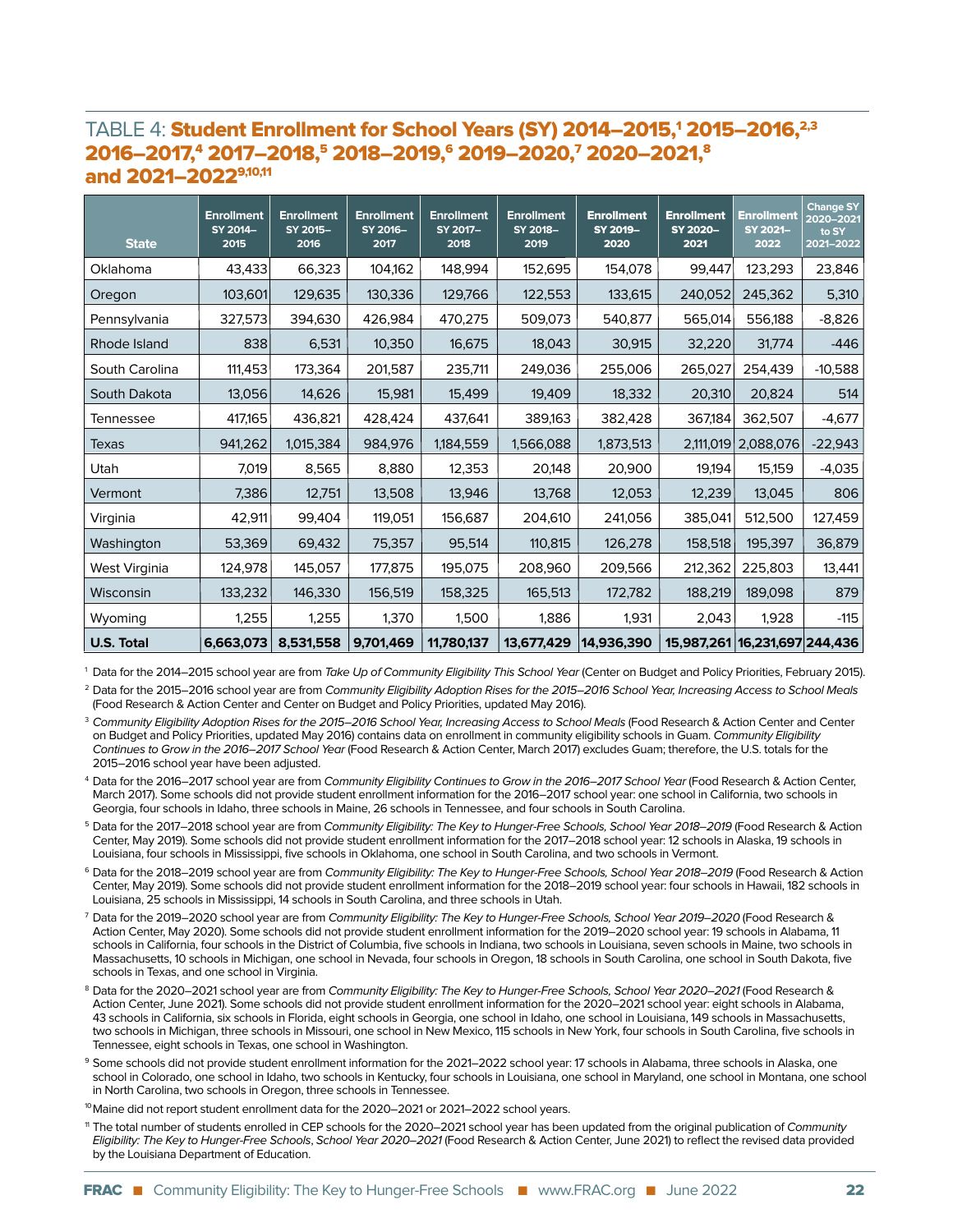#### TABLE 4: Student Enrollment for School Years (SY) 2014–2015,<sup>1</sup> 2015–2016,<sup>2,3</sup> 2016-2017,<sup>4</sup> 2017-2018,<sup>5</sup> 2018-2019,<sup>6</sup> 2019-2020,<sup>7</sup> 2020-2021,<sup>8</sup> and 2021–20229,10,11

| <b>State</b>      | <b>Enrollment</b><br>SY 2014-<br>2015 | <b>Enrollment</b><br>SY 2015-<br>2016 | <b>Enrollment</b><br>SY 2016-<br>2017 | <b>Enrollment</b><br>SY 2017-<br>2018 | <b>Enrollment</b><br>SY 2018-<br>2019 | <b>Enrollment</b><br>SY 2019-<br>2020 | <b>Enrollment</b><br>SY 2020-<br>2021 | <b>Enrollment</b><br>SY 2021-<br>2022 | <b>Change SY</b><br>2020-2021<br>to SY<br>2021-2022 |
|-------------------|---------------------------------------|---------------------------------------|---------------------------------------|---------------------------------------|---------------------------------------|---------------------------------------|---------------------------------------|---------------------------------------|-----------------------------------------------------|
| Oklahoma          | 43,433                                | 66,323                                | 104,162                               | 148,994                               | 152,695                               | 154,078                               | 99,447                                | 123,293                               | 23,846                                              |
| Oregon            | 103,601                               | 129,635                               | 130,336                               | 129,766                               | 122,553                               | 133,615                               | 240,052                               | 245,362                               | 5,310                                               |
| Pennsylvania      | 327,573                               | 394.630                               | 426,984                               | 470,275                               | 509,073                               | 540,877                               | 565,014                               | 556,188                               | $-8,826$                                            |
| Rhode Island      | 838                                   | 6,531                                 | 10,350                                | 16,675                                | 18,043                                | 30,915                                | 32,220                                | 31,774                                | $-446$                                              |
| South Carolina    | 111,453                               | 173,364                               | 201,587                               | 235,711                               | 249,036                               | 255,006                               | 265,027                               | 254,439                               | $-10,588$                                           |
| South Dakota      | 13,056                                | 14,626                                | 15,981                                | 15,499                                | 19,409                                | 18,332                                | 20,310                                | 20,824                                | 514                                                 |
| Tennessee         | 417,165                               | 436,821                               | 428,424                               | 437,641                               | 389,163                               | 382,428                               | 367,184                               | 362,507                               | $-4,677$                                            |
| Texas             | 941,262                               | 1,015,384                             | 984,976                               | 1,184,559                             | 1,566,088                             | 1,873,513                             | 2,111,019                             | 2,088,076                             | $-22,943$                                           |
| Utah              | 7,019                                 | 8,565                                 | 8,880                                 | 12,353                                | 20,148                                | 20,900                                | 19,194                                | 15,159                                | $-4,035$                                            |
| Vermont           | 7,386                                 | 12,751                                | 13,508                                | 13,946                                | 13,768                                | 12,053                                | 12,239                                | 13,045                                | 806                                                 |
| Virginia          | 42,911                                | 99,404                                | 119,051                               | 156,687                               | 204,610                               | 241,056                               | 385,041                               | 512,500                               | 127,459                                             |
| Washington        | 53,369                                | 69,432                                | 75,357                                | 95,514                                | 110,815                               | 126,278                               | 158,518                               | 195,397                               | 36,879                                              |
| West Virginia     | 124,978                               | 145,057                               | 177,875                               | 195,075                               | 208,960                               | 209,566                               | 212,362                               | 225,803                               | 13,441                                              |
| Wisconsin         | 133,232                               | 146,330                               | 156,519                               | 158,325                               | 165,513                               | 172,782                               | 188,219                               | 189,098                               | 879                                                 |
| Wyoming           | 1,255                                 | 1,255                                 | 1,370                                 | 1,500                                 | 1,886                                 | 1,931                                 | 2,043                                 | 1,928                                 | $-115$                                              |
| <b>U.S. Total</b> | 6,663,073                             | 8,531,558                             | 9,701,469                             | 11,780,137                            | 13,677,429                            | 14,936,390                            | 15,987,261 16,231,697 244,436         |                                       |                                                     |

<sup>1</sup> Data for the 2014–2015 school year are from Take Up of Community Eligibility This School Year (Center on Budget and Policy Priorities, February 2015). <sup>2</sup> Data for the 2015–2016 school year are from Community Eligibility Adoption Rises for the 2015–2016 School Year, Increasing Access to School Meals

(Food Research & Action Center and Center on Budget and Policy Priorities, updated May 2016).

<sup>3</sup> Community Eligibility Adoption Rises for the 2015–2016 School Year, Increasing Access to School Meals (Food Research & Action Center and Center on Budget and Policy Priorities, updated May 2016) contains data on enrollment in community eligibility schools in Guam. Community Eligibility Continues to Grow in the 2016–2017 School Year (Food Research & Action Center, March 2017) excludes Guam; therefore, the U.S. totals for the 2015–2016 school year have been adjusted.

<sup>4</sup> Data for the 2016–2017 school year are from Community Eligibility Continues to Grow in the 2016–2017 School Year (Food Research & Action Center, March 2017). Some schools did not provide student enrollment information for the 2016–2017 school year: one school in California, two schools in Georgia, four schools in Idaho, three schools in Maine, 26 schools in Tennessee, and four schools in South Carolina.

<sup>5</sup> Data for the 2017–2018 school year are from Community Eligibility: The Key to Hunger-Free Schools, School Year 2018–2019 (Food Research & Action Center, May 2019). Some schools did not provide student enrollment information for the 2017–2018 school year: 12 schools in Alaska, 19 schools in Louisiana, four schools in Mississippi, five schools in Oklahoma, one school in South Carolina, and two schools in Vermont.

<sup>6</sup> Data for the 2018–2019 school year are from Community Eligibility: The Key to Hunger-Free Schools, School Year 2018–2019 (Food Research & Action Center, May 2019). Some schools did not provide student enrollment information for the 2018–2019 school year: four schools in Hawaii, 182 schools in Louisiana, 25 schools in Mississippi, 14 schools in South Carolina, and three schools in Utah.

- <sup>7</sup> Data for the 2019–2020 school year are from Community Eligibility: The Key to Hunger-Free Schools, School Year 2019–2020 (Food Research & Action Center, May 2020). Some schools did not provide student enrollment information for the 2019–2020 school year: 19 schools in Alabama, 11 schools in California, four schools in the District of Columbia, five schools in Indiana, two schools in Louisiana, seven schools in Maine, two schools in Massachusetts, 10 schools in Michigan, one school in Nevada, four schools in Oregon, 18 schools in South Carolina, one school in South Dakota, five schools in Texas, and one school in Virginia.
- Data for the 2020–2021 school year are from Community Eligibility: The Key to Hunger-Free Schools, School Year 2020–2021 (Food Research & Action Center, June 2021). Some schools did not provide student enrollment information for the 2020–2021 school year: eight schools in Alabama, 43 schools in California, six schools in Florida, eight schools in Georgia, one school in Idaho, one school in Louisiana, 149 schools in Massachusetts, two schools in Michigan, three schools in Missouri, one school in New Mexico, 115 schools in New York, four schools in South Carolina, five schools in Tennessee, eight schools in Texas, one school in Washington.
- 9 Some schools did not provide student enrollment information for the 2021–2022 school year: 17 schools in Alabama, three schools in Alaska, one school in Colorado, one school in Idaho, two schools in Kentucky, four schools in Louisiana, one school in Maryland, one school in Montana, one school in North Carolina, two schools in Oregon, three schools in Tennessee.

<sup>10</sup> Maine did not report student enrollment data for the 2020–2021 or 2021–2022 school years.

<sup>11</sup> The total number of students enrolled in CEP schools for the 2020–2021 school year has been updated from the original publication of Community Eligibility: The Key to Hunger-Free Schools, School Year 2020–2021 (Food Research & Action Center, June 2021) to reflect the revised data provided by the Louisiana Department of Education.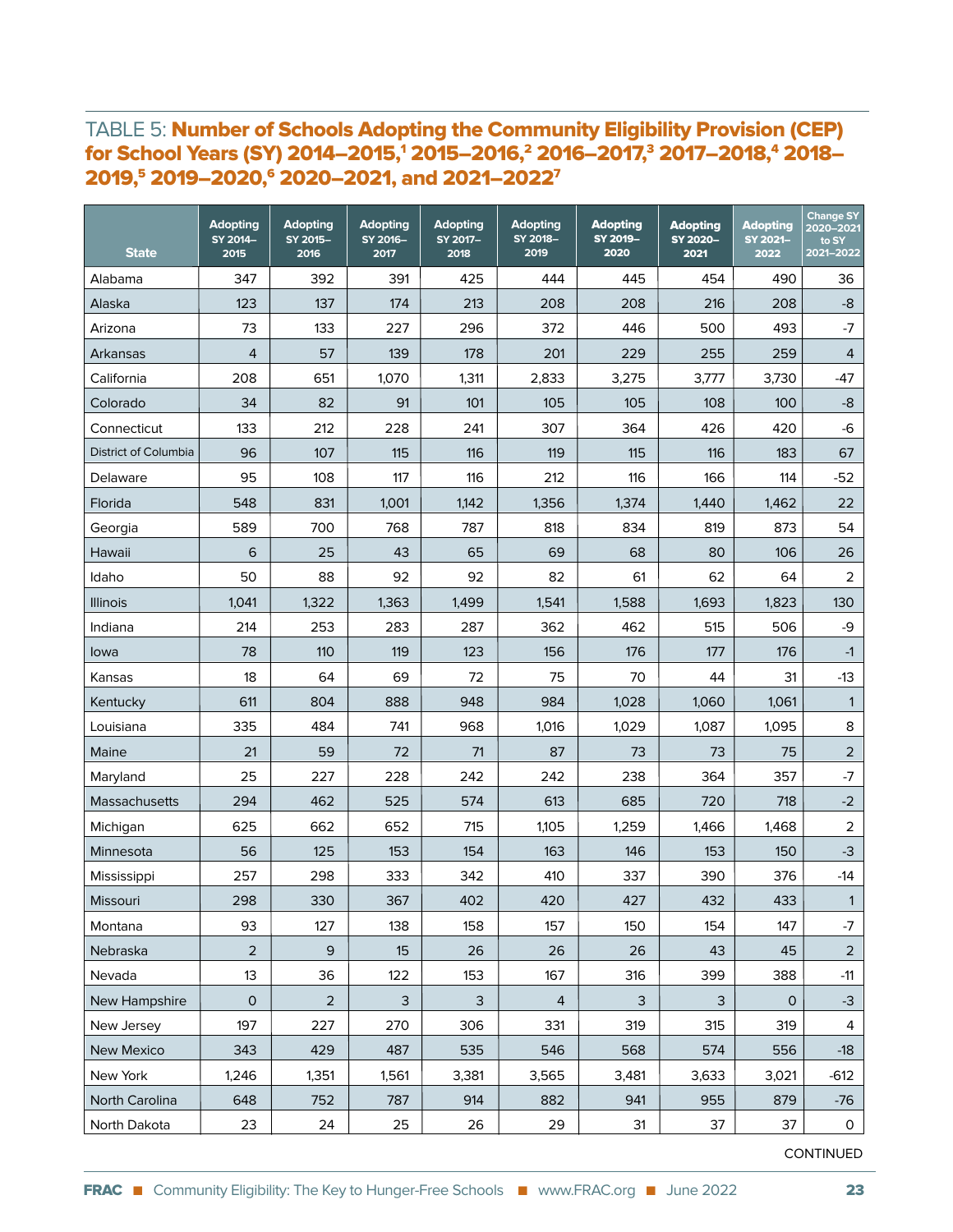#### TABLE 5: Number of Schools Adopting the Community Eligibility Provision (CEP) for School Years (SY) 2014–2015,1 2015–2016,2 2016–2017,3 2017–2018,4 2018– 2019,<sup>5</sup> 2019–2020,<sup>6</sup> 2020–2021, and 2021–2022<sup>7</sup>

| <b>State</b>         | <b>Adopting</b><br>SY 2014-<br>2015 | <b>Adopting</b><br>SY 2015-<br>2016 | <b>Adopting</b><br>SY 2016-<br>2017 | <b>Adopting</b><br>SY 2017-<br>2018 | <b>Adopting</b><br>SY 2018-<br>2019 | <b>Adopting</b><br>SY 2019-<br>2020 | <b>Adopting</b><br>SY 2020-<br>2021 | <b>Adopting</b><br>SY 2021-<br>2022 | <b>Change SY</b><br>2020-2021<br>to SY<br>2021-2022 |
|----------------------|-------------------------------------|-------------------------------------|-------------------------------------|-------------------------------------|-------------------------------------|-------------------------------------|-------------------------------------|-------------------------------------|-----------------------------------------------------|
| Alabama              | 347                                 | 392                                 | 391                                 | 425                                 | 444                                 | 445                                 | 454                                 | 490                                 | 36                                                  |
| Alaska               | 123                                 | 137                                 | 174                                 | 213                                 | 208                                 | 208                                 | 216                                 | 208                                 | $-8$                                                |
| Arizona              | 73                                  | 133                                 | 227                                 | 296                                 | 372                                 | 446                                 | 500                                 | 493                                 | -7                                                  |
| Arkansas             | 4                                   | 57                                  | 139                                 | 178                                 | 201                                 | 229                                 | 255                                 | 259                                 | $\overline{4}$                                      |
| California           | 208                                 | 651                                 | 1,070                               | 1,311                               | 2,833                               | 3,275                               | 3,777                               | 3,730                               | $-47$                                               |
| Colorado             | 34                                  | 82                                  | 91                                  | 101                                 | 105                                 | 105                                 | 108                                 | 100                                 | $-8$                                                |
| Connecticut          | 133                                 | 212                                 | 228                                 | 241                                 | 307                                 | 364                                 | 426                                 | 420                                 | $-6$                                                |
| District of Columbia | 96                                  | 107                                 | 115                                 | 116                                 | 119                                 | 115                                 | 116                                 | 183                                 | 67                                                  |
| Delaware             | 95                                  | 108                                 | 117                                 | 116                                 | 212                                 | 116                                 | 166                                 | 114                                 | $-52$                                               |
| Florida              | 548                                 | 831                                 | 1,001                               | 1,142                               | 1,356                               | 1,374                               | 1,440                               | 1,462                               | 22                                                  |
| Georgia              | 589                                 | 700                                 | 768                                 | 787                                 | 818                                 | 834                                 | 819                                 | 873                                 | 54                                                  |
| Hawaii               | 6                                   | 25                                  | 43                                  | 65                                  | 69                                  | 68                                  | 80                                  | 106                                 | 26                                                  |
| Idaho                | 50                                  | 88                                  | 92                                  | 92                                  | 82                                  | 61                                  | 62                                  | 64                                  | $\overline{2}$                                      |
| <b>Illinois</b>      | 1,041                               | 1,322                               | 1,363                               | 1,499                               | 1,541                               | 1,588                               | 1,693                               | 1,823                               | 130                                                 |
| Indiana              | 214                                 | 253                                 | 283                                 | 287                                 | 362                                 | 462                                 | 515                                 | 506                                 | -9                                                  |
| lowa                 | 78                                  | 110                                 | 119                                 | 123                                 | 156                                 | 176                                 | 177                                 | 176                                 | $-1$                                                |
| Kansas               | 18                                  | 64                                  | 69                                  | 72                                  | 75                                  | 70                                  | 44                                  | 31                                  | $-13$                                               |
| Kentucky             | 611                                 | 804                                 | 888                                 | 948                                 | 984                                 | 1,028                               | 1,060                               | 1,061                               | 1                                                   |
| Louisiana            | 335                                 | 484                                 | 741                                 | 968                                 | 1,016                               | 1,029                               | 1,087                               | 1,095                               | 8                                                   |
| Maine                | 21                                  | 59                                  | 72                                  | 71                                  | 87                                  | 73                                  | 73                                  | 75                                  | $\overline{2}$                                      |
| Maryland             | 25                                  | 227                                 | 228                                 | 242                                 | 242                                 | 238                                 | 364                                 | 357                                 | $-7$                                                |
| Massachusetts        | 294                                 | 462                                 | 525                                 | 574                                 | 613                                 | 685                                 | 720                                 | 718                                 | $-2$                                                |
| Michigan             | 625                                 | 662                                 | 652                                 | 715                                 | 1,105                               | 1,259                               | 1,466                               | 1,468                               | $\overline{2}$                                      |
| Minnesota            | 56                                  | 125                                 | 153                                 | 154                                 | 163                                 | 146                                 | 153                                 | 150                                 | $-3$                                                |
| Mississippi          | 257                                 | 298                                 | 333                                 | 342                                 | 410                                 | 337                                 | 390                                 | 376                                 | $-14$                                               |
| Missouri             | 298                                 | 330                                 | 367                                 | 402                                 | 420                                 | 427                                 | 432                                 | 433                                 | $\mathbf{1}$                                        |
| Montana              | 93                                  | 127                                 | 138                                 | 158                                 | 157                                 | 150                                 | 154                                 | 147                                 | $-7$                                                |
| Nebraska             | $\overline{2}$                      | 9                                   | 15                                  | 26                                  | 26                                  | 26                                  | 43                                  | 45                                  | $\overline{2}$                                      |
| Nevada               | 13                                  | 36                                  | 122                                 | 153                                 | 167                                 | 316                                 | 399                                 | 388                                 | $-11$                                               |
| New Hampshire        | $\mathsf{O}\xspace$                 | $\overline{2}$                      | 3                                   | 3                                   | $\overline{4}$                      | 3                                   | 3                                   | $\mathbf 0$                         | $-3$                                                |
| New Jersey           | 197                                 | 227                                 | 270                                 | 306                                 | 331                                 | 319                                 | 315                                 | 319                                 | 4                                                   |
| <b>New Mexico</b>    | 343                                 | 429                                 | 487                                 | 535                                 | 546                                 | 568                                 | 574                                 | 556                                 | $-18$                                               |
| New York             | 1,246                               | 1,351                               | 1,561                               | 3,381                               | 3,565                               | 3,481                               | 3,633                               | 3,021                               | $-612$                                              |
| North Carolina       | 648                                 | 752                                 | 787                                 | 914                                 | 882                                 | 941                                 | 955                                 | 879                                 | $-76$                                               |
| North Dakota         | 23                                  | 24                                  | 25                                  | 26                                  | 29                                  | 31                                  | 37                                  | 37                                  | $\mathsf{O}$                                        |

CONTINUED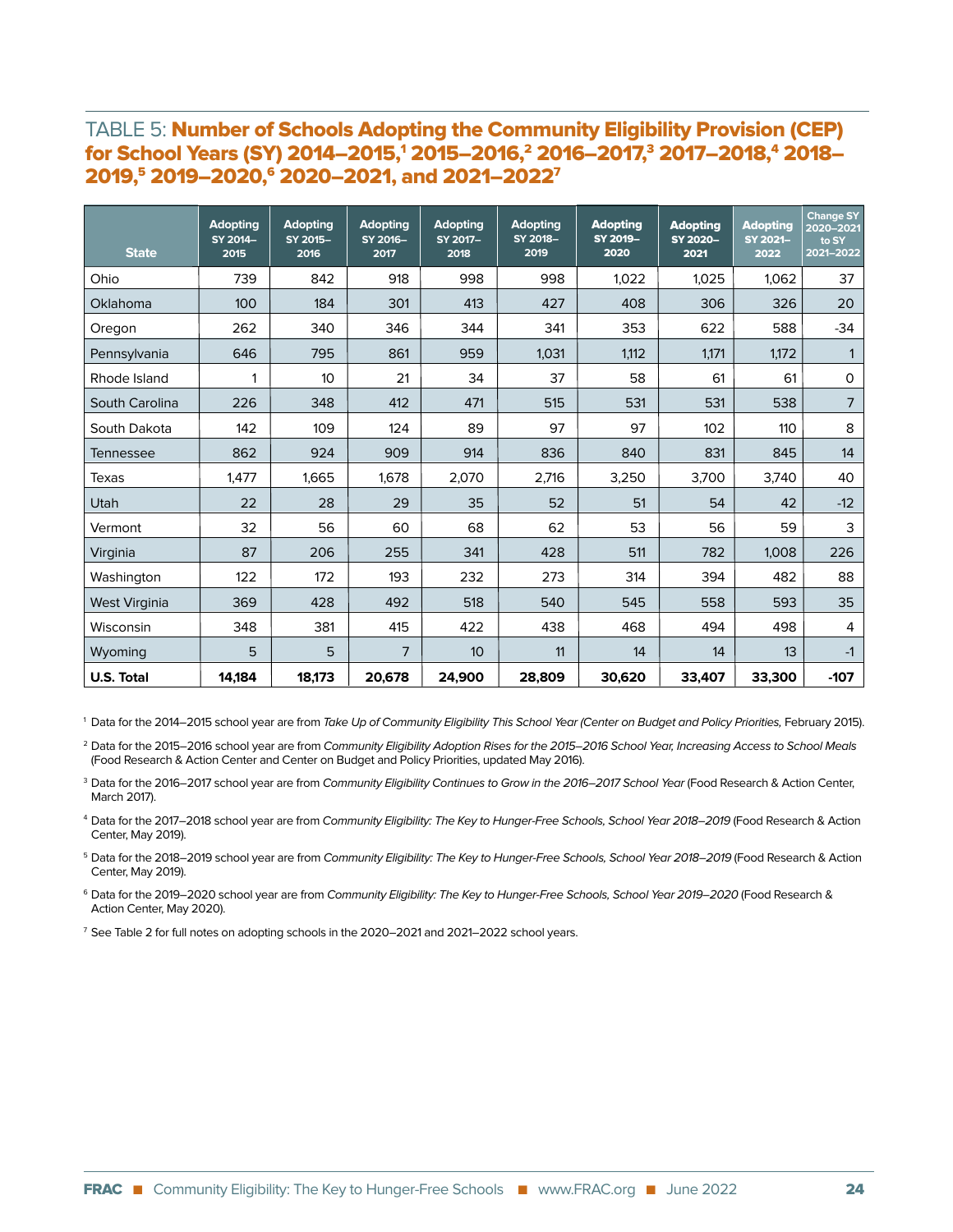#### TABLE 5: Number of Schools Adopting the Community Eligibility Provision (CEP) for School Years (SY) 2014–2015,1 2015–2016,2 2016–2017,3 2017–2018,4 2018– 2019,5 2019–2020,6 2020–2021, and 2021–20227

| <b>State</b>         | <b>Adopting</b><br>SY 2014-<br>2015 | <b>Adopting</b><br>SY 2015-<br>2016 | <b>Adopting</b><br>SY 2016-<br>2017 | <b>Adopting</b><br>SY 2017-<br>2018 | <b>Adopting</b><br>SY 2018-<br>2019 | <b>Adopting</b><br>SY 2019-<br>2020 | <b>Adopting</b><br>SY 2020-<br>2021 | <b>Adopting</b><br>SY 2021-<br>2022 | <b>Change SY</b><br>2020-2021<br>to SY<br>2021-2022 |
|----------------------|-------------------------------------|-------------------------------------|-------------------------------------|-------------------------------------|-------------------------------------|-------------------------------------|-------------------------------------|-------------------------------------|-----------------------------------------------------|
| Ohio                 | 739                                 | 842                                 | 918                                 | 998                                 | 998                                 | 1.022                               | 1.025                               | 1.062                               | 37                                                  |
| Oklahoma             | 100                                 | 184                                 | 301                                 | 413                                 | 427                                 | 408                                 | 306                                 | 326                                 | 20                                                  |
| Oregon               | 262                                 | 340                                 | 346                                 | 344                                 | 341                                 | 353                                 | 622                                 | 588                                 | $-34$                                               |
| Pennsylvania         | 646                                 | 795                                 | 861                                 | 959                                 | 1.031                               | 1,112                               | 1.171                               | 1,172                               |                                                     |
| Rhode Island         | 1                                   | 10                                  | 21                                  | 34                                  | 37                                  | 58                                  | 61                                  | 61                                  | 0                                                   |
| South Carolina       | 226                                 | 348                                 | 412                                 | 471                                 | 515                                 | 531                                 | 531                                 | 538                                 | $\overline{7}$                                      |
| South Dakota         | 142                                 | 109                                 | 124                                 | 89                                  | 97                                  | 97                                  | 102                                 | 110                                 | 8                                                   |
| <b>Tennessee</b>     | 862                                 | 924                                 | 909                                 | 914                                 | 836                                 | 840                                 | 831                                 | 845                                 | 14                                                  |
| Texas                | 1,477                               | 1,665                               | 1,678                               | 2,070                               | 2,716                               | 3,250                               | 3,700                               | 3,740                               | 40                                                  |
| Utah                 | 22                                  | 28                                  | 29                                  | 35                                  | 52                                  | 51                                  | 54                                  | 42                                  | $-12$                                               |
| Vermont              | 32                                  | 56                                  | 60                                  | 68                                  | 62                                  | 53                                  | 56                                  | 59                                  | 3                                                   |
| Virginia             | 87                                  | 206                                 | 255                                 | 341                                 | 428                                 | 511                                 | 782                                 | 1,008                               | 226                                                 |
| Washington           | 122                                 | 172                                 | 193                                 | 232                                 | 273                                 | 314                                 | 394                                 | 482                                 | 88                                                  |
| <b>West Virginia</b> | 369                                 | 428                                 | 492                                 | 518                                 | 540                                 | 545                                 | 558                                 | 593                                 | 35                                                  |
| Wisconsin            | 348                                 | 381                                 | 415                                 | 422                                 | 438                                 | 468                                 | 494                                 | 498                                 | 4                                                   |
| Wyoming              | 5                                   | 5                                   | 7                                   | 10 <sup>10</sup>                    | 11                                  | 14                                  | 14                                  | 13                                  | $-1$                                                |
| <b>U.S. Total</b>    | 14,184                              | 18,173                              | 20,678                              | 24,900                              | 28,809                              | 30,620                              | 33,407                              | 33,300                              | $-107$                                              |

<sup>1</sup> Data for the 2014–2015 school year are from Take Up of Community Eligibility This School Year (Center on Budget and Policy Priorities, February 2015).

<sup>2</sup> Data for the 2015–2016 school year are from Community Eligibility Adoption Rises for the 2015–2016 School Year, Increasing Access to School Meals (Food Research & Action Center and Center on Budget and Policy Priorities, updated May 2016).

<sup>3</sup> Data for the 2016–2017 school year are from Community Eligibility Continues to Grow in the 2016–2017 School Year (Food Research & Action Center, March 2017).

4 Data for the 2017–2018 school year are from Community Eligibility: The Key to Hunger-Free Schools, School Year 2018–2019 (Food Research & Action Center, May 2019).

<sup>5</sup> Data for the 2018–2019 school year are from Community Eligibility: The Key to Hunger-Free Schools, School Year 2018–2019 (Food Research & Action Center, May 2019).

<sup>6</sup> Data for the 2019–2020 school year are from Community Eligibility: The Key to Hunger-Free Schools, School Year 2019–2020 (Food Research & Action Center, May 2020).

<sup>7</sup> See Table 2 for full notes on adopting schools in the 2020–2021 and 2021–2022 school years.